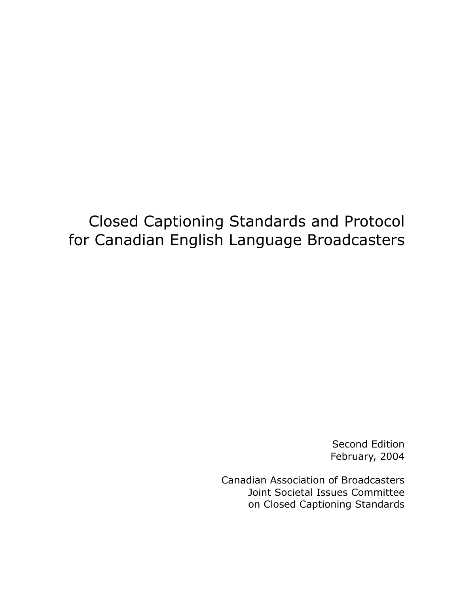# Closed Captioning Standards and Protocol for Canadian English Language Broadcasters

Second Edition February, 2004

Canadian Association of Broadcasters Joint Societal Issues Committee on Closed Captioning Standards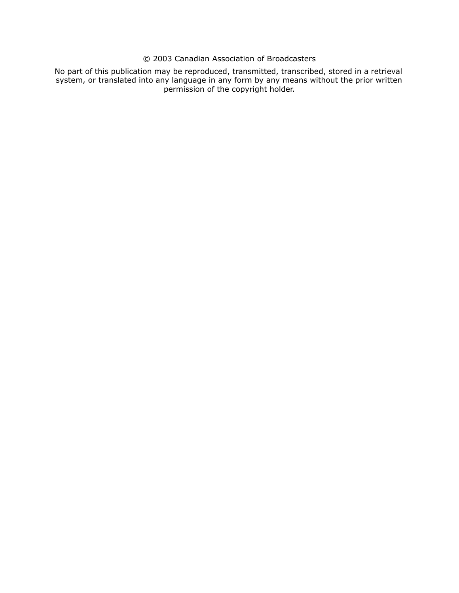### © 2003 Canadian Association of Broadcasters

No part of this publication may be reproduced, transmitted, transcribed, stored in a retrieval system, or translated into any language in any form by any means without the prior written permission of the copyright holder.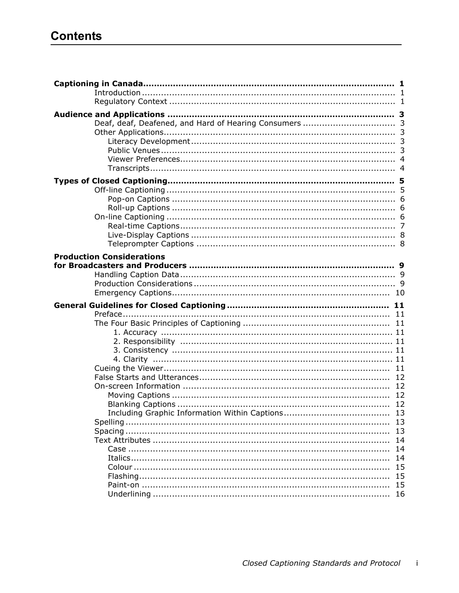| <b>Production Considerations</b> |          |
|----------------------------------|----------|
|                                  |          |
|                                  |          |
|                                  |          |
|                                  |          |
|                                  |          |
|                                  |          |
|                                  |          |
|                                  |          |
|                                  |          |
|                                  |          |
|                                  | 11       |
|                                  | 12       |
|                                  | 12       |
|                                  |          |
|                                  |          |
|                                  |          |
|                                  |          |
|                                  | 13       |
|                                  | 14       |
|                                  | 14       |
|                                  | 14       |
|                                  | 15<br>15 |
|                                  | 15       |
|                                  | 16       |
|                                  |          |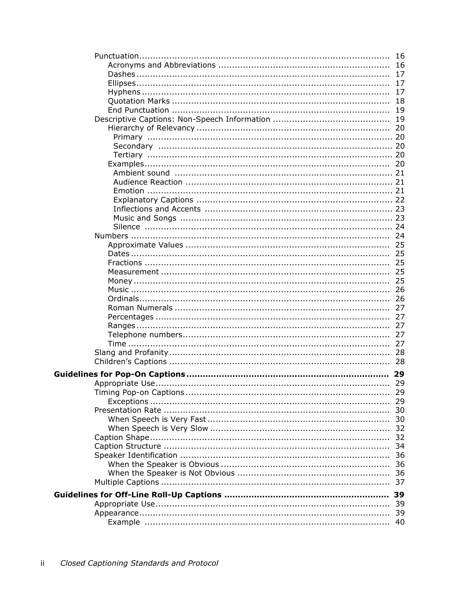| 16 |
|----|
| 16 |
| 17 |
| 17 |
| 17 |
| 18 |
| 19 |
| 19 |
| 20 |
|    |
|    |
|    |
| 20 |
|    |
|    |
|    |
|    |
|    |
|    |
|    |
|    |
| 24 |
| 25 |
| 25 |
| 25 |
| 25 |
| 25 |
| 26 |
| 26 |
| 27 |
| 27 |
| 27 |
| 27 |
| 27 |
| 28 |
|    |
|    |
|    |
|    |
|    |
|    |
|    |
|    |
| 32 |
| 32 |
| 34 |
| 36 |
|    |
|    |
| 37 |
| 39 |
|    |
|    |
|    |
|    |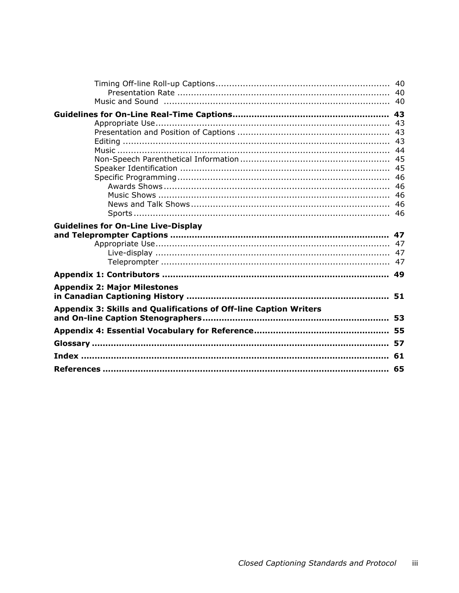|                                                                   | 43 |
|-------------------------------------------------------------------|----|
|                                                                   |    |
|                                                                   |    |
|                                                                   |    |
|                                                                   |    |
|                                                                   |    |
|                                                                   |    |
|                                                                   |    |
|                                                                   |    |
|                                                                   |    |
| <b>Guidelines for On-Line Live-Display</b>                        |    |
|                                                                   |    |
|                                                                   |    |
|                                                                   |    |
|                                                                   |    |
|                                                                   |    |
| <b>Appendix 2: Major Milestones</b>                               |    |
|                                                                   |    |
| Appendix 3: Skills and Qualifications of Off-line Caption Writers |    |
|                                                                   |    |
|                                                                   |    |
|                                                                   |    |
|                                                                   |    |
|                                                                   | 61 |
|                                                                   |    |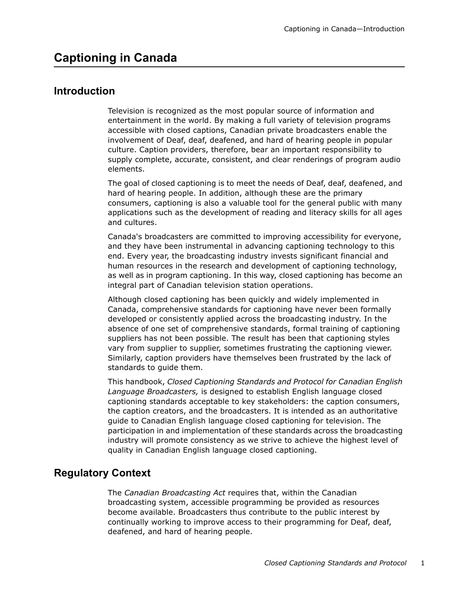# <span id="page-6-1"></span><span id="page-6-0"></span>**Introduction**

Television is recognized as the most popular source of information and entertainment in the world. By making a full variety of television programs accessible with closed captions, Canadian private broadcasters enable the involvement of Deaf, deaf, deafened, and hard of hearing people in popular culture. Caption providers, therefore, bear an important responsibility to supply complete, accurate, consistent, and clear renderings of program audio elements.

The goal of closed captioning is to meet the needs of Deaf, deaf, deafened, and hard of hearing people. In addition, although these are the primary consumers, captioning is also a valuable tool for the general public with many applications such as the development of reading and literacy skills for all ages and cultures.

Canada's broadcasters are committed to improving accessibility for everyone, and they have been instrumental in advancing captioning technology to this end. Every year, the broadcasting industry invests significant financial and human resources in the research and development of captioning technology, as well as in program captioning. In this way, closed captioning has become an integral part of Canadian television station operations.

Although closed captioning has been quickly and widely implemented in Canada, comprehensive standards for captioning have never been formally developed or consistently applied across the broadcasting industry. In the absence of one set of comprehensive standards, formal training of captioning suppliers has not been possible. The result has been that captioning styles vary from supplier to supplier, sometimes frustrating the captioning viewer. Similarly, caption providers have themselves been frustrated by the lack of standards to guide them.

This handbook, *Closed Captioning Standards and Protocol for Canadian English Language Broadcasters,* is designed to establish English language closed captioning standards acceptable to key stakeholders: the caption consumers, the caption creators, and the broadcasters. It is intended as an authoritative guide to Canadian English language closed captioning for television. The participation in and implementation of these standards across the broadcasting industry will promote consistency as we strive to achieve the highest level of quality in Canadian English language closed captioning.

# <span id="page-6-2"></span>**Regulatory Context**

The *Canadian Broadcasting Act* requires that, within the Canadian broadcasting system, accessible programming be provided as resources become available. Broadcasters thus contribute to the public interest by continually working to improve access to their programming for Deaf, deaf, deafened, and hard of hearing people.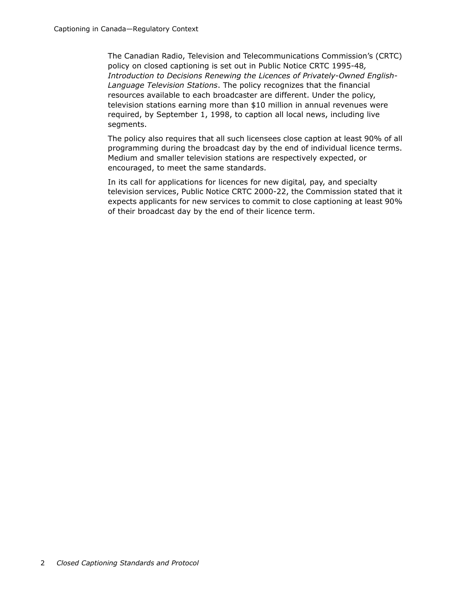The Canadian Radio, Television and Telecommunications Commission's (CRTC) policy on closed captioning is set out in Public Notice CRTC 1995-48*, Introduction to Decisions Renewing the Licences of Privately-Owned English-Language Television Stations*. The policy recognizes that the financial resources available to each broadcaster are different. Under the policy, television stations earning more than \$10 million in annual revenues were required, by September 1, 1998, to caption all local news, including live segments.

The policy also requires that all such licensees close caption at least 90% of all programming during the broadcast day by the end of individual licence terms. Medium and smaller television stations are respectively expected, or encouraged, to meet the same standards.

In its call for applications for licences for new digital*,* pay, and specialty television services, Public Notice CRTC 2000-22, the Commission stated that it expects applicants for new services to commit to close captioning at least 90% of their broadcast day by the end of their licence term.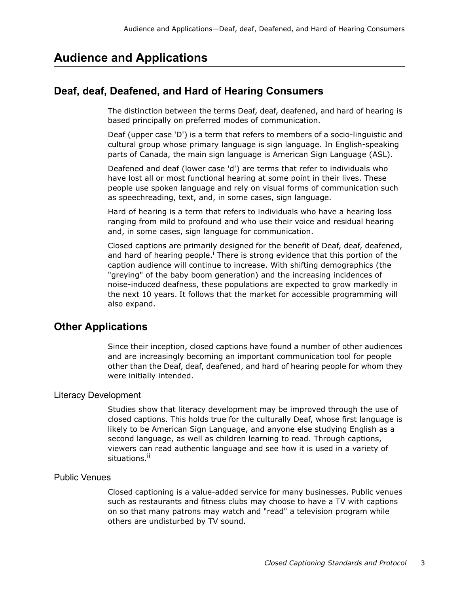# <span id="page-8-0"></span>**Audience and Applications**

# <span id="page-8-1"></span>**Deaf, deaf, Deafened, and Hard of Hearing Consumers**

The distinction between the terms Deaf, deaf, deafened, and hard of hearing is based principally on preferred modes of communication.

Deaf (upper case 'D') is a term that refers to members of a socio-linguistic and cultural group whose primary language is sign language. In English-speaking parts of Canada, the main sign language is American Sign Language (ASL).

Deafened and deaf (lower case 'd') are terms that refer to individuals who have lost all or most functional hearing at some point in their lives. These people use spoken language and rely on visual forms of communication such as speechreading, text, and, in some cases, sign language.

Hard of hearing is a term that refers to individuals who have a hearing loss ranging from mild to profound and who use their voice and residual hearing and, in some cases, sign language for communication.

Closed captions are primarily designed for the benefit of Deaf, deaf, deafened, and hard of hearing people.<sup>i</sup> There is strong evidence that this portion of the caption audience will continue to increase. With shifting demographics (the "greying" of the baby boom generation) and the increasing incidences of noise-induced deafness, these populations are expected to grow markedly in the next 10 years. It follows that the market for accessible programming will also expand.

# <span id="page-8-2"></span>**Other Applications**

Since their inception, closed captions have found a number of other audiences and are increasingly becoming an important communication tool for people other than the Deaf, deaf, deafened, and hard of hearing people for whom they were initially intended.

# <span id="page-8-3"></span>Literacy Development

Studies show that literacy development may be improved through the use of closed captions. This holds true for the culturally Deaf, whose first language is likely to be American Sign Language, and anyone else studying English as a second language, as well as children learning to read. Through captions, viewers can read authentic language and see how it is used in a variety of situations.<sup>ii</sup>

# <span id="page-8-4"></span>Public Venues

Closed captioning is a value-added service for many businesses. Public venues such as restaurants and fitness clubs may choose to have a TV with captions on so that many patrons may watch and "read" a television program while others are undisturbed by TV sound.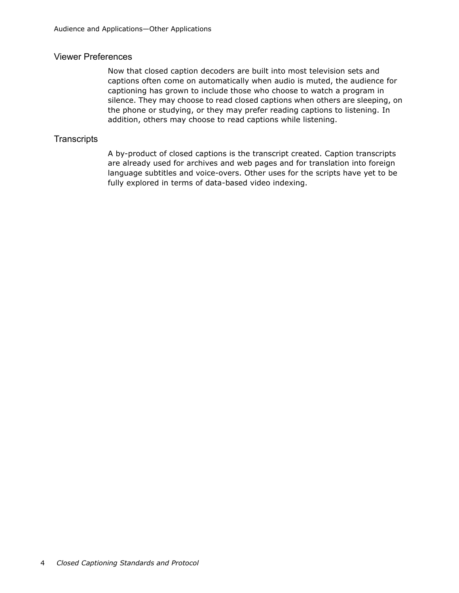### <span id="page-9-0"></span>Viewer Preferences

Now that closed caption decoders are built into most television sets and captions often come on automatically when audio is muted, the audience for captioning has grown to include those who choose to watch a program in silence. They may choose to read closed captions when others are sleeping, on the phone or studying, or they may prefer reading captions to listening. In addition, others may choose to read captions while listening.

## <span id="page-9-1"></span>**Transcripts**

A by-product of closed captions is the transcript created. Caption transcripts are already used for archives and web pages and for translation into foreign language subtitles and voice-overs. Other uses for the scripts have yet to be fully explored in terms of data-based video indexing.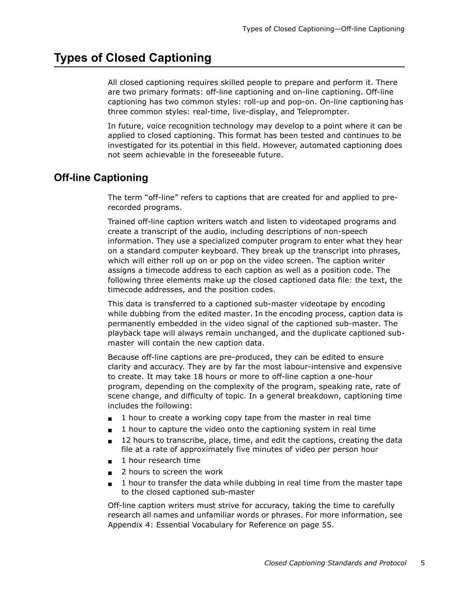# <span id="page-10-0"></span>**Types of Closed Captioning**

All closed captioning requires skilled people to prepare and perform it. There are two primary formats: off-line captioning and on-line captioning. Off-line captioning has two common styles: roll-up and pop-on. On-line captioning has three common styles: real-time, live-display, and Teleprompter.

In future, voice recognition technology may develop to a point where it can be applied to closed captioning. This format has been tested and continues to be investigated for its potential in this field. However, automated captioning does not seem achievable in the foreseeable future.

# <span id="page-10-1"></span>**Off-line Captioning**

The term "off-line" refers to captions that are created for and applied to prerecorded programs.

Trained off-line caption writers watch and listen to videotaped programs and create a transcript of the audio, including descriptions of non-speech information. They use a specialized computer program to enter what they hear on a standard computer keyboard. They break up the transcript into phrases, which will either roll up on or pop on the video screen. The caption writer assigns a timecode address to each caption as well as a position code. The following three elements make up the closed captioned data file: the text, the timecode addresses, and the position codes.

This data is transferred to a captioned sub-master videotape by encoding while dubbing from the edited master. In the encoding process, caption data is permanently embedded in the video signal of the captioned sub-master. The playback tape will always remain unchanged, and the duplicate captioned submaster will contain the new caption data.

Because off-line captions are pre-produced, they can be edited to ensure clarity and accuracy. They are by far the most labour-intensive and expensive to create. It may take 18 hours or more to off-line caption a one-hour program, depending on the complexity of the program, speaking rate, rate of scene change, and difficulty of topic. In a general breakdown, captioning time includes the following:

- 1 hour to create a working copy tape from the master in real time
- 1 hour to capture the video onto the captioning system in real time
- 12 hours to transcribe, place, time, and edit the captions, creating the data file at a rate of approximately five minutes of video per person hour
- 1 hour research time
- 2 hours to screen the work
- 1 hour to transfer the data while dubbing in real time from the master tape to the closed captioned sub-master

Off-line caption writers must strive for accuracy, taking the time to carefully research all names and unfamiliar words or phrases. For more information, see [Appendix 4: Essential Vocabulary for Reference on page 55](#page-60-1).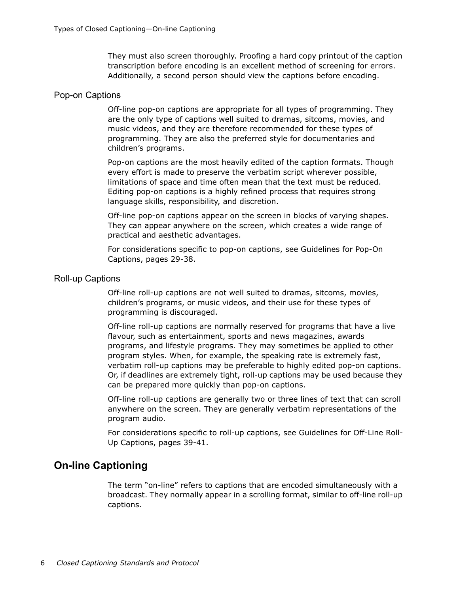They must also screen thoroughly. Proofing a hard copy printout of the caption transcription before encoding is an excellent method of screening for errors. Additionally, a second person should view the captions before encoding.

### <span id="page-11-0"></span>Pop-on Captions

Off-line pop-on captions are appropriate for all types of programming. They are the only type of captions well suited to dramas, sitcoms, movies, and music videos, and they are therefore recommended for these types of programming. They are also the preferred style for documentaries and children's programs.

Pop-on captions are the most heavily edited of the caption formats. Though every effort is made to preserve the verbatim script wherever possible, limitations of space and time often mean that the text must be reduced. Editing pop-on captions is a highly refined process that requires strong language skills, responsibility, and discretion.

Off-line pop-on captions appear on the screen in blocks of varying shapes. They can appear anywhere on the screen, which creates a wide range of practical and aesthetic advantages.

For considerations specific to pop-on captions, see Guidelines for Pop-On Captions, pages [29](#page-34-4)[-38.](#page-43-0)

<span id="page-11-1"></span>Roll-up Captions

Off-line roll-up captions are not well suited to dramas, sitcoms, movies, children's programs, or music videos, and their use for these types of programming is discouraged.

Off-line roll-up captions are normally reserved for programs that have a live flavour, such as entertainment, sports and news magazines, awards programs, and lifestyle programs. They may sometimes be applied to other program styles. When, for example, the speaking rate is extremely fast, verbatim roll-up captions may be preferable to highly edited pop-on captions. Or, if deadlines are extremely tight, roll-up captions may be used because they can be prepared more quickly than pop-on captions.

Off-line roll-up captions are generally two or three lines of text that can scroll anywhere on the screen. They are generally verbatim representations of the program audio.

For considerations specific to roll-up captions, see [Guidelines for Off-Line Roll-](#page-44-3)[Up Captions,](#page-44-3) pages [39-](#page-44-3)[41.](#page-46-0)

# <span id="page-11-2"></span>**On-line Captioning**

The term "on-line" refers to captions that are encoded simultaneously with a broadcast. They normally appear in a scrolling format, similar to off-line roll-up captions.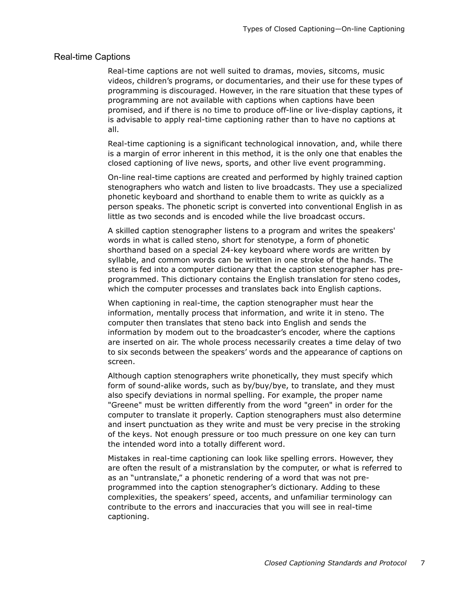### <span id="page-12-0"></span>Real-time Captions

Real-time captions are not well suited to dramas, movies, sitcoms, music videos, children's programs, or documentaries, and their use for these types of programming is discouraged. However, in the rare situation that these types of programming are not available with captions when captions have been promised, and if there is no time to produce off-line or live-display captions, it is advisable to apply real-time captioning rather than to have no captions at all.

Real-time captioning is a significant technological innovation, and, while there is a margin of error inherent in this method, it is the only one that enables the closed captioning of live news, sports, and other live event programming.

On-line real-time captions are created and performed by highly trained caption stenographers who watch and listen to live broadcasts. They use a specialized phonetic keyboard and shorthand to enable them to write as quickly as a person speaks. The phonetic script is converted into conventional English in as little as two seconds and is encoded while the live broadcast occurs.

A skilled caption stenographer listens to a program and writes the speakers' words in what is called steno, short for stenotype, a form of phonetic shorthand based on a special 24-key keyboard where words are written by syllable, and common words can be written in one stroke of the hands. The steno is fed into a computer dictionary that the caption stenographer has preprogrammed. This dictionary contains the English translation for steno codes, which the computer processes and translates back into English captions.

When captioning in real-time, the caption stenographer must hear the information, mentally process that information, and write it in steno. The computer then translates that steno back into English and sends the information by modem out to the broadcaster's encoder, where the captions are inserted on air. The whole process necessarily creates a time delay of two to six seconds between the speakers' words and the appearance of captions on screen.

Although caption stenographers write phonetically, they must specify which form of sound-alike words, such as by/buy/bye, to translate, and they must also specify deviations in normal spelling. For example, the proper name "Greene" must be written differently from the word "green" in order for the computer to translate it properly. Caption stenographers must also determine and insert punctuation as they write and must be very precise in the stroking of the keys. Not enough pressure or too much pressure on one key can turn the intended word into a totally different word.

Mistakes in real-time captioning can look like spelling errors. However, they are often the result of a mistranslation by the computer, or what is referred to as an "untranslate," a phonetic rendering of a word that was not preprogrammed into the caption stenographer's dictionary. Adding to these complexities, the speakers' speed, accents, and unfamiliar terminology can contribute to the errors and inaccuracies that you will see in real-time captioning.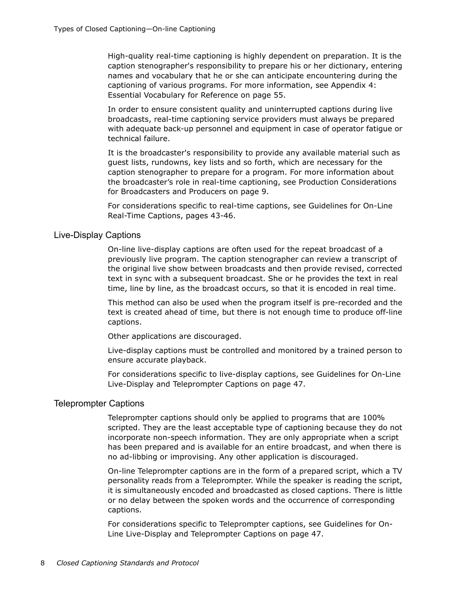High-quality real-time captioning is highly dependent on preparation. It is the caption stenographer's responsibility to prepare his or her dictionary, entering names and vocabulary that he or she can anticipate encountering during the captioning of various programs. For more information, see [Appendix 4:](#page-60-1)  [Essential Vocabulary for Reference on page 55.](#page-60-1)

In order to ensure consistent quality and uninterrupted captions during live broadcasts, real-time captioning service providers must always be prepared with adequate back-up personnel and equipment in case of operator fatigue or technical failure.

It is the broadcaster's responsibility to provide any available material such as guest lists, rundowns, key lists and so forth, which are necessary for the caption stenographer to prepare for a program. For more information about the broadcaster's role in real-time captioning, see [Production Considerations](#page-14-3)  [for Broadcasters and Producers on page 9](#page-14-3).

For considerations specific to real-time captions, see [Guidelines for On-Line](#page-48-4)  [Real-Time Captions,](#page-48-4) pages [43](#page-48-4)[-46](#page-51-5).

### <span id="page-13-0"></span>Live-Display Captions

On-line live-display captions are often used for the repeat broadcast of a previously live program. The caption stenographer can review a transcript of the original live show between broadcasts and then provide revised, corrected text in sync with a subsequent broadcast. She or he provides the text in real time, line by line, as the broadcast occurs, so that it is encoded in real time.

This method can also be used when the program itself is pre-recorded and the text is created ahead of time, but there is not enough time to produce off-line captions.

Other applications are discouraged.

Live-display captions must be controlled and monitored by a trained person to ensure accurate playback.

For considerations specific to live-display captions, see [Guidelines for On-Line](#page-52-4)  [Live-Display and Teleprompter Captions on page 47](#page-52-4).

### <span id="page-13-1"></span>Teleprompter Captions

Teleprompter captions should only be applied to programs that are 100% scripted. They are the least acceptable type of captioning because they do not incorporate non-speech information. They are only appropriate when a script has been prepared and is available for an entire broadcast, and when there is no ad-libbing or improvising. Any other application is discouraged.

On-line Teleprompter captions are in the form of a prepared script, which a TV personality reads from a Teleprompter. While the speaker is reading the script, it is simultaneously encoded and broadcasted as closed captions. There is little or no delay between the spoken words and the occurrence of corresponding captions.

For considerations specific to Teleprompter captions, see [Guidelines for On-](#page-52-4)[Line Live-Display and Teleprompter Captions on page 47](#page-52-4).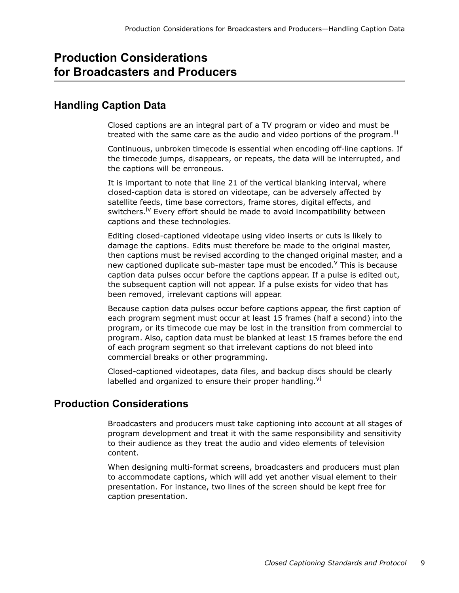# <span id="page-14-3"></span><span id="page-14-0"></span>**Production Considerations for Broadcasters and Producers**

# <span id="page-14-1"></span>**Handling Caption Data**

Closed captions are an integral part of a TV program or video and must be treated with the same care as the audio and video portions of the program.<sup>iii</sup>

Continuous, unbroken timecode is essential when encoding off-line captions. If the timecode jumps, disappears, or repeats, the data will be interrupted, and the captions will be erroneous.

It is important to note that line 21 of the vertical blanking interval, where closed-caption data is stored on videotape, can be adversely affected by satellite feeds, time base correctors, frame stores, digital effects, and switchers.<sup>IV</sup> Every effort should be made to avoid incompatibility between captions and these technologies.

Editing closed-captioned videotape using video inserts or cuts is likely to damage the captions. Edits must therefore be made to the original master, then captions must be revised according to the changed original master, and a new captioned duplicate sub-master tape must be encoded. $<sup>V</sup>$  This is because</sup> caption data pulses occur before the captions appear. If a pulse is edited out, the subsequent caption will not appear. If a pulse exists for video that has been removed, irrelevant captions will appear.

Because caption data pulses occur before captions appear, the first caption of each program segment must occur at least 15 frames (half a second) into the program, or its timecode cue may be lost in the transition from commercial to program. Also, caption data must be blanked at least 15 frames before the end of each program segment so that irrelevant captions do not bleed into commercial breaks or other programming.

Closed-captioned videotapes, data files, and backup discs should be clearly labelled and organized to ensure their proper handling.<sup>Vi</sup>

# <span id="page-14-2"></span>**Production Considerations**

Broadcasters and producers must take captioning into account at all stages of program development and treat it with the same responsibility and sensitivity to their audience as they treat the audio and video elements of television content.

When designing multi-format screens, broadcasters and producers must plan to accommodate captions, which will add yet another visual element to their presentation. For instance, two lines of the screen should be kept free for caption presentation.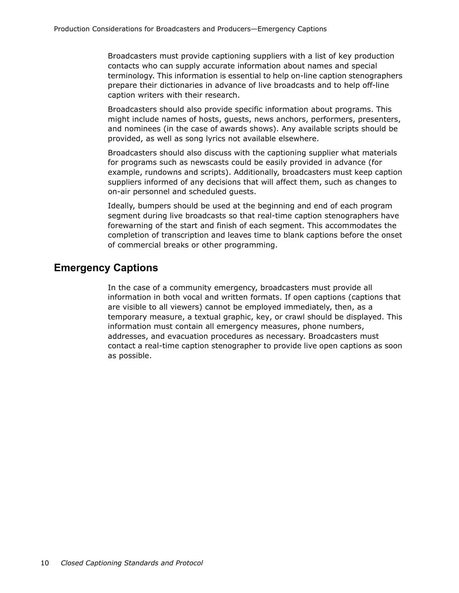Broadcasters must provide captioning suppliers with a list of key production contacts who can supply accurate information about names and special terminology. This information is essential to help on-line caption stenographers prepare their dictionaries in advance of live broadcasts and to help off-line caption writers with their research.

Broadcasters should also provide specific information about programs. This might include names of hosts, guests, news anchors, performers, presenters, and nominees (in the case of awards shows). Any available scripts should be provided, as well as song lyrics not available elsewhere.

Broadcasters should also discuss with the captioning supplier what materials for programs such as newscasts could be easily provided in advance (for example, rundowns and scripts). Additionally, broadcasters must keep caption suppliers informed of any decisions that will affect them, such as changes to on-air personnel and scheduled guests.

Ideally, bumpers should be used at the beginning and end of each program segment during live broadcasts so that real-time caption stenographers have forewarning of the start and finish of each segment. This accommodates the completion of transcription and leaves time to blank captions before the onset of commercial breaks or other programming.

# <span id="page-15-0"></span>**Emergency Captions**

In the case of a community emergency, broadcasters must provide all information in both vocal and written formats. If open captions (captions that are visible to all viewers) cannot be employed immediately, then, as a temporary measure, a textual graphic, key, or crawl should be displayed. This information must contain all emergency measures, phone numbers, addresses, and evacuation procedures as necessary. Broadcasters must contact a real-time caption stenographer to provide live open captions as soon as possible.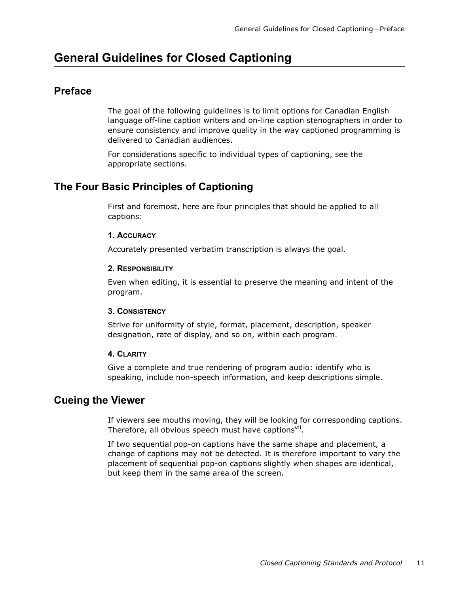# <span id="page-16-0"></span>**General Guidelines for Closed Captioning**

# <span id="page-16-1"></span>**Preface**

The goal of the following guidelines is to limit options for Canadian English language off-line caption writers and on-line caption stenographers in order to ensure consistency and improve quality in the way captioned programming is delivered to Canadian audiences.

For considerations specific to individual types of captioning, see the appropriate sections.

# <span id="page-16-2"></span>**The Four Basic Principles of Captioning**

First and foremost, here are four principles that should be applied to all captions:

### <span id="page-16-3"></span>**1. ACCURACY**

Accurately presented verbatim transcription is always the goal.

### <span id="page-16-4"></span>**2. RESPONSIBILITY**

Even when editing, it is essential to preserve the meaning and intent of the program.

### <span id="page-16-5"></span>**3. CONSISTENCY**

Strive for uniformity of style, format, placement, description, speaker designation, rate of display, and so on, within each program.

### <span id="page-16-6"></span>**4. CLARITY**

Give a complete and true rendering of program audio: identify who is speaking, include non-speech information, and keep descriptions simple.

# <span id="page-16-7"></span>**Cueing the Viewer**

If viewers see mouths moving, they will be looking for corresponding captions. Therefore, all obvious speech must have captions<sup>vii</sup>.

If two sequential pop-on captions have the same shape and placement, a change of captions may not be detected. It is therefore important to vary the placement of sequential pop-on captions slightly when shapes are identical, but keep them in the same area of the screen.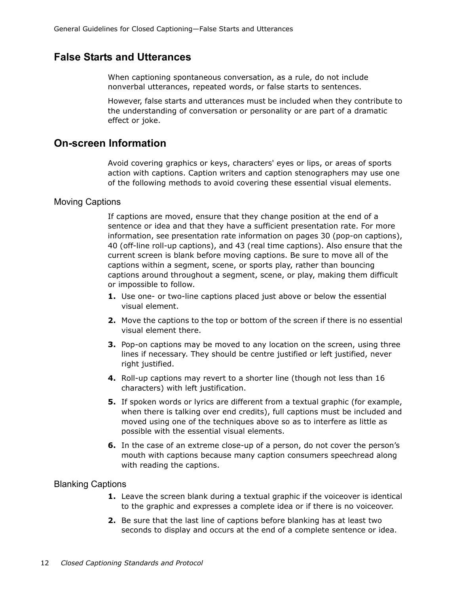# <span id="page-17-0"></span>**False Starts and Utterances**

When captioning spontaneous conversation, as a rule, do not include nonverbal utterances, repeated words, or false starts to sentences.

However, false starts and utterances must be included when they contribute to the understanding of conversation or personality or are part of a dramatic effect or joke.

# <span id="page-17-1"></span>**On-screen Information**

Avoid covering graphics or keys, characters' eyes or lips, or areas of sports action with captions. Caption writers and caption stenographers may use one of the following methods to avoid covering these essential visual elements.

### <span id="page-17-2"></span>Moving Captions

If captions are moved, ensure that they change position at the end of a sentence or idea and that they have a sufficient presentation rate. For more information, see presentation rate information on pages [30](#page-35-2) (pop-on captions), [40](#page-45-4) (off-line roll-up captions), and [43](#page-48-5) (real time captions). Also ensure that the current screen is blank before moving captions. Be sure to move all of the captions within a segment, scene, or sports play, rather than bouncing captions around throughout a segment, scene, or play, making them difficult or impossible to follow.

- **1.** Use one- or two-line captions placed just above or below the essential visual element.
- **2.** Move the captions to the top or bottom of the screen if there is no essential visual element there.
- **3.** Pop-on captions may be moved to any location on the screen, using three lines if necessary. They should be centre justified or left justified, never right justified.
- **4.** Roll-up captions may revert to a shorter line (though not less than 16 characters) with left justification.
- **5.** If spoken words or lyrics are different from a textual graphic (for example, when there is talking over end credits), full captions must be included and moved using one of the techniques above so as to interfere as little as possible with the essential visual elements.
- **6.** In the case of an extreme close-up of a person, do not cover the person's mouth with captions because many caption consumers speechread along with reading the captions.

### <span id="page-17-3"></span>Blanking Captions

- **1.** Leave the screen blank during a textual graphic if the voiceover is identical to the graphic and expresses a complete idea or if there is no voiceover.
- **2.** Be sure that the last line of captions before blanking has at least two seconds to display and occurs at the end of a complete sentence or idea.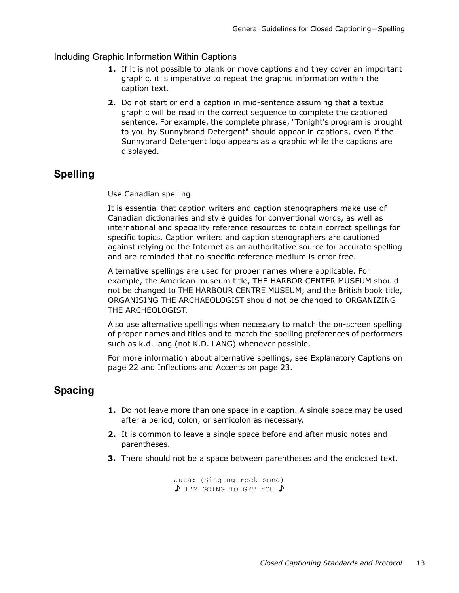## <span id="page-18-0"></span>Including Graphic Information Within Captions

- **1.** If it is not possible to blank or move captions and they cover an important graphic, it is imperative to repeat the graphic information within the caption text.
- **2.** Do not start or end a caption in mid-sentence assuming that a textual graphic will be read in the correct sequence to complete the captioned sentence. For example, the complete phrase, "Tonight's program is brought to you by Sunnybrand Detergent" should appear in captions, even if the Sunnybrand Detergent logo appears as a graphic while the captions are displayed.

# <span id="page-18-1"></span>**Spelling**

Use Canadian spelling.

It is essential that caption writers and caption stenographers make use of Canadian dictionaries and style guides for conventional words, as well as international and speciality reference resources to obtain correct spellings for specific topics. Caption writers and caption stenographers are cautioned against relying on the Internet as an authoritative source for accurate spelling and are reminded that no specific reference medium is error free.

Alternative spellings are used for proper names where applicable. For example, the American museum title, THE HARBOR CENTER MUSEUM should not be changed to THE HARBOUR CENTRE MUSEUM; and the British book title, ORGANISING THE ARCHAEOLOGIST should not be changed to ORGANIZING THE ARCHEOLOGIST.

Also use alternative spellings when necessary to match the on-screen spelling of proper names and titles and to match the spelling preferences of performers such as k.d. lang (not K.D. LANG) whenever possible.

For more information about alternative spellings, see [Explanatory Captions on](#page-27-0)  [page 22](#page-27-0) and [Inflections and Accents on page 23.](#page-28-0)

# <span id="page-18-2"></span>**Spacing**

- **1.** Do not leave more than one space in a caption. A single space may be used after a period, colon, or semicolon as necessary.
- **2.** It is common to leave a single space before and after music notes and parentheses.
- **3.** There should not be a space between parentheses and the enclosed text.

Juta: (Singing rock song)  $\Box$  I'M GOING TO GET YOU  $\Box$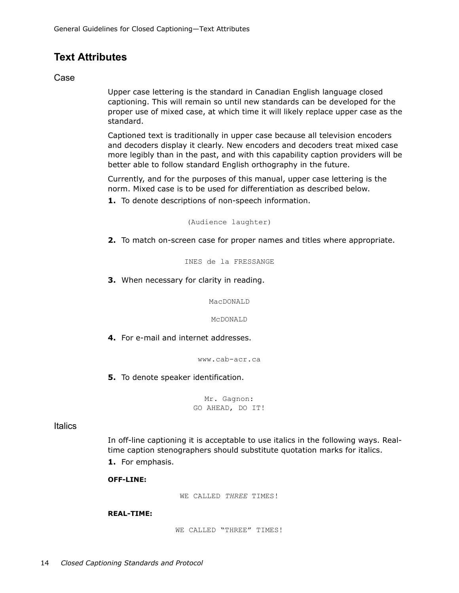# <span id="page-19-0"></span>**Text Attributes**

### <span id="page-19-1"></span>Case

Upper case lettering is the standard in Canadian English language closed captioning. This will remain so until new standards can be developed for the proper use of mixed case, at which time it will likely replace upper case as the standard.

Captioned text is traditionally in upper case because all television encoders and decoders display it clearly. New encoders and decoders treat mixed case more legibly than in the past, and with this capability caption providers will be better able to follow standard English orthography in the future.

Currently, and for the purposes of this manual, upper case lettering is the norm. Mixed case is to be used for differentiation as described below.

**1.** To denote descriptions of non-speech information.

(Audience laughter)

**2.** To match on-screen case for proper names and titles where appropriate.

INES de la FRESSANGE

**3.** When necessary for clarity in reading.

MacDONALD

McDONALD

**4.** For e-mail and internet addresses.

www.cab-acr.ca

**5.** To denote speaker identification.

Mr. Gagnon: GO AHEAD, DO IT!

#### <span id="page-19-2"></span>**Italics**

In off-line captioning it is acceptable to use italics in the following ways. Realtime caption stenographers should substitute quotation marks for italics.

**1.** For emphasis.

#### **OFF-LINE:**

WE CALLED *THREE* TIMES!

#### **REAL-TIME:**

WE CALLED "THREE" TIMES!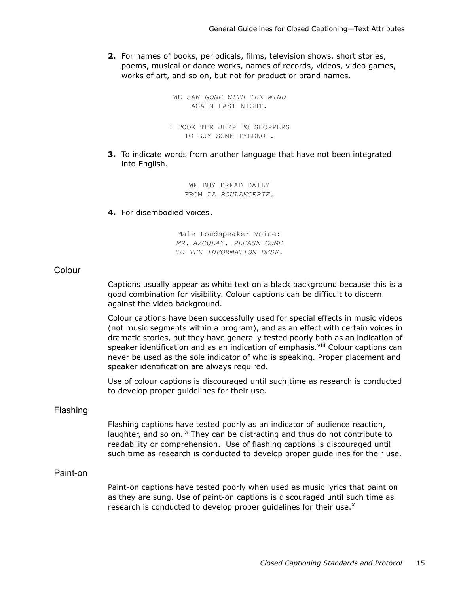**2.** For names of books, periodicals, films, television shows, short stories, poems, musical or dance works, names of records, videos, video games, works of art, and so on, but not for product or brand names.

> WE SAW *GONE WITH THE WIND* AGAIN LAST NIGHT.

I TOOK THE JEEP TO SHOPPERS TO BUY SOME TYLENOL.

**3.** To indicate words from another language that have not been integrated into English.

> WE BUY BREAD DAILY FROM *LA BOULANGERIE.*

**4.** For disembodied voices.

Male Loudspeaker Voice: *MR. AZOULAY, PLEASE COME TO THE INFORMATION DESK.*

#### <span id="page-20-0"></span>Colour

Captions usually appear as white text on a black background because this is a good combination for visibility. Colour captions can be difficult to discern against the video background.

Colour captions have been successfully used for special effects in music videos (not music segments within a program), and as an effect with certain voices in dramatic stories, but they have generally tested poorly both as an indication of speaker identification and as an indication of emphasis.<sup>Viii</sup> Colour captions can never be used as the sole indicator of who is speaking. Proper placement and speaker identification are always required.

Use of colour captions is discouraged until such time as research is conducted to develop proper guidelines for their use.

### <span id="page-20-1"></span>Flashing

Flashing captions have tested poorly as an indicator of audience reaction, laughter, and so on.<sup>ix</sup> They can be distracting and thus do not contribute to readability or comprehension. Use of flashing captions is discouraged until such time as research is conducted to develop proper guidelines for their use.

#### <span id="page-20-2"></span>Paint-on

Paint-on captions have tested poorly when used as music lyrics that paint on as they are sung. Use of paint-on captions is discouraged until such time as research is conducted to develop proper guidelines for their use. $<sup>x</sup>$ </sup>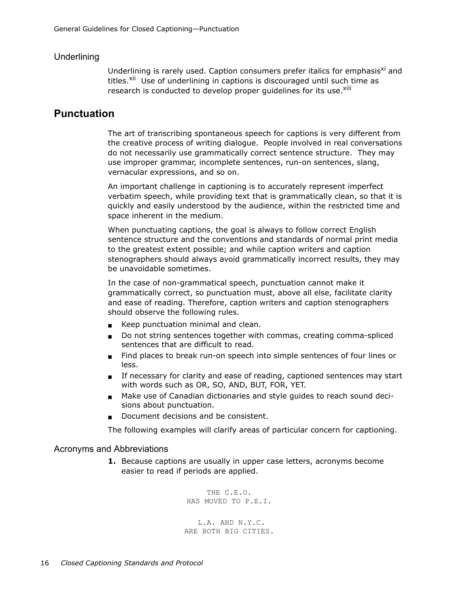### <span id="page-21-0"></span>**Underlining**

Underlining is rarely used. Caption consumers prefer italics for emphasis<sup>xi</sup> and titles.<sup>Xii</sup> Use of underlining in captions is discouraged until such time as research is conducted to develop proper quidelines for its use.<sup>Xiii</sup>

# <span id="page-21-1"></span>**Punctuation**

The art of transcribing spontaneous speech for captions is very different from the creative process of writing dialogue. People involved in real conversations do not necessarily use grammatically correct sentence structure. They may use improper grammar, incomplete sentences, run-on sentences, slang, vernacular expressions, and so on.

An important challenge in captioning is to accurately represent imperfect verbatim speech, while providing text that is grammatically clean, so that it is quickly and easily understood by the audience, within the restricted time and space inherent in the medium.

When punctuating captions, the goal is always to follow correct English sentence structure and the conventions and standards of normal print media to the greatest extent possible; and while caption writers and caption stenographers should always avoid grammatically incorrect results, they may be unavoidable sometimes.

In the case of non-grammatical speech, punctuation cannot make it grammatically correct, so punctuation must, above all else, facilitate clarity and ease of reading. Therefore, caption writers and caption stenographers should observe the following rules.

- Keep punctuation minimal and clean.
- Do not string sentences together with commas, creating comma-spliced sentences that are difficult to read.
- Find places to break run-on speech into simple sentences of four lines or less.
- If necessary for clarity and ease of reading, captioned sentences may start with words such as OR, SO, AND, BUT, FOR, YET.
- Make use of Canadian dictionaries and style quides to reach sound decisions about punctuation.
- Document decisions and be consistent.

The following examples will clarify areas of particular concern for captioning.

### <span id="page-21-2"></span>Acronyms and Abbreviations

**1.** Because captions are usually in upper case letters, acronyms become easier to read if periods are applied.

> THE C.E.O. HAS MOVED TO P.E.I.

 L.A. AND N.Y.C. ARE BOTH BIG CITIES.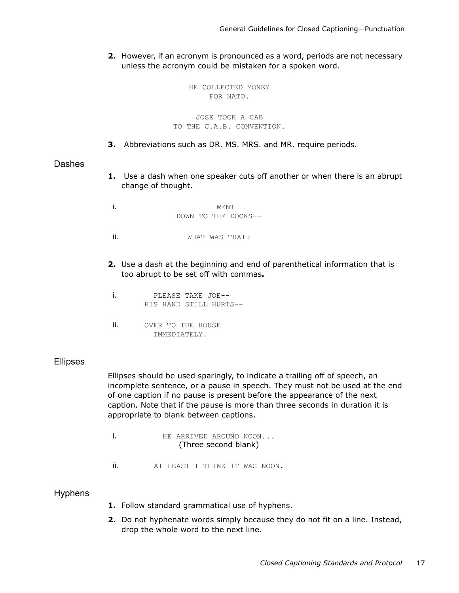**2.** However, if an acronym is pronounced as a word, periods are not necessary unless the acronym could be mistaken for a spoken word.

> HE COLLECTED MONEY FOR NATO.

JOSE TOOK A CAB TO THE C.A.B. CONVENTION.

**3.** Abbreviations such as DR. MS. MRS. and MR. require periods.

### <span id="page-22-0"></span>Dashes

**1.** Use a dash when one speaker cuts off another or when there is an abrupt change of thought.

i. I WENT DOWN TO THE DOCKS--

- ii. WHAT WAS THAT?
- **2.** Use a dash at the beginning and end of parenthetical information that is too abrupt to be set off with commas**.**
- i. PLEASE TAKE JOE-- HIS HAND STILL HURTS--
- ii. OVER TO THE HOUSE IMMEDIATELY.

#### <span id="page-22-1"></span>Ellipses

Ellipses should be used sparingly, to indicate a trailing off of speech, an incomplete sentence, or a pause in speech. They must not be used at the end of one caption if no pause is present before the appearance of the next caption. Note that if the pause is more than three seconds in duration it is appropriate to blank between captions.

- i. HE ARRIVED AROUND NOON... (Three second blank)
- ii. AT LEAST I THINK IT WAS NOON.

#### <span id="page-22-2"></span>Hyphens

- **1.** Follow standard grammatical use of hyphens.
- **2.** Do not hyphenate words simply because they do not fit on a line. Instead, drop the whole word to the next line.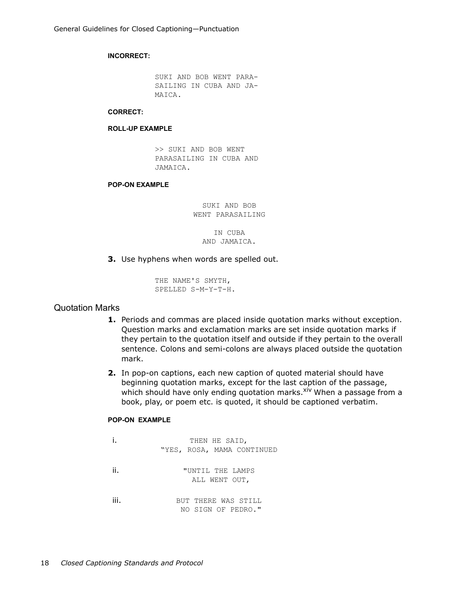#### **INCORRECT:**

SUKI AND BOB WENT PARA-SAILING IN CUBA AND JA-MAICA.

#### **CORRECT:**

#### **ROLL-UP EXAMPLE**

>> SUKI AND BOB WENT PARASAILING IN CUBA AND JAMAICA.

#### **POP-ON EXAMPLE**

SUKI AND BOB WENT PARASAILING

> IN CUBA AND JAMAICA.

#### **3.** Use hyphens when words are spelled out.

THE NAME'S SMYTH, SPELLED S-M-Y-T-H.

#### <span id="page-23-0"></span>Quotation Marks

- **1.** Periods and commas are placed inside quotation marks without exception. Question marks and exclamation marks are set inside quotation marks if they pertain to the quotation itself and outside if they pertain to the overall sentence. Colons and semi-colons are always placed outside the quotation mark.
- **2.** In pop-on captions, each new caption of quoted material should have beginning quotation marks, except for the last caption of the passage, which should have only ending quotation marks. Xiv When a passage from a book, play, or poem etc. is quoted, it should be captioned verbatim.

### **POP-ON EXAMPLE**

|      | THEN HE SAID,<br>"YES, ROSA, MAMA CONTINUED |
|------|---------------------------------------------|
| ii.  | "UNTIL THE LAMPS<br>ALL WENT OUT,           |
| iii. | BUT THERE WAS STILL<br>NO SIGN OF PEDRO."   |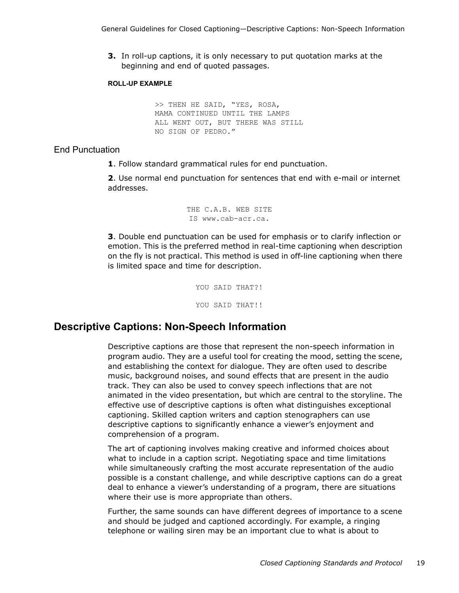**3.** In roll-up captions, it is only necessary to put quotation marks at the beginning and end of quoted passages.

#### **ROLL-UP EXAMPLE**

>> THEN HE SAID, "YES, ROSA, MAMA CONTINUED UNTIL THE LAMPS ALL WENT OUT, BUT THERE WAS STILL NO SIGN OF PEDRO."

### <span id="page-24-0"></span>End Punctuation

**1**. Follow standard grammatical rules for end punctuation.

**2**. Use normal end punctuation for sentences that end with e-mail or internet addresses.

> THE C.A.B. WEB SITE IS www.cab-acr.ca.

**3**. Double end punctuation can be used for emphasis or to clarify inflection or emotion. This is the preferred method in real-time captioning when description on the fly is not practical. This method is used in off-line captioning when there is limited space and time for description.

```
YOU SAID THAT?!
```
YOU SAID THAT!!

# <span id="page-24-1"></span>**Descriptive Captions: Non-Speech Information**

Descriptive captions are those that represent the non-speech information in program audio. They are a useful tool for creating the mood, setting the scene, and establishing the context for dialogue. They are often used to describe music, background noises, and sound effects that are present in the audio track. They can also be used to convey speech inflections that are not animated in the video presentation, but which are central to the storyline. The effective use of descriptive captions is often what distinguishes exceptional captioning. Skilled caption writers and caption stenographers can use descriptive captions to significantly enhance a viewer's enjoyment and comprehension of a program.

The art of captioning involves making creative and informed choices about what to include in a caption script. Negotiating space and time limitations while simultaneously crafting the most accurate representation of the audio possible is a constant challenge, and while descriptive captions can do a great deal to enhance a viewer's understanding of a program, there are situations where their use is more appropriate than others.

Further, the same sounds can have different degrees of importance to a scene and should be judged and captioned accordingly. For example, a ringing telephone or wailing siren may be an important clue to what is about to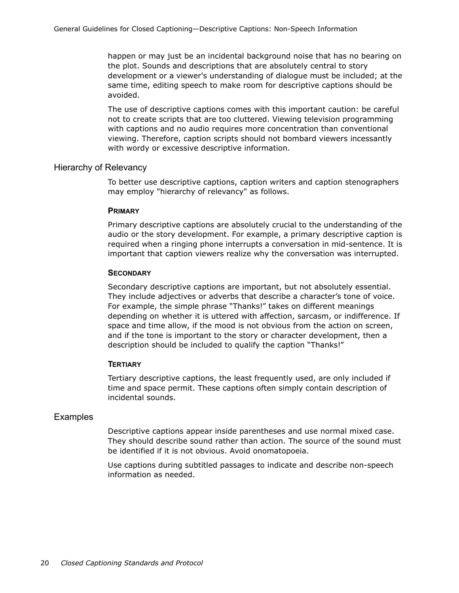happen or may just be an incidental background noise that has no bearing on the plot. Sounds and descriptions that are absolutely central to story development or a viewer's understanding of dialogue must be included; at the same time, editing speech to make room for descriptive captions should be avoided.

The use of descriptive captions comes with this important caution: be careful not to create scripts that are too cluttered. Viewing television programming with captions and no audio requires more concentration than conventional viewing. Therefore, caption scripts should not bombard viewers incessantly with wordy or excessive descriptive information.

### <span id="page-25-0"></span>Hierarchy of Relevancy

To better use descriptive captions, caption writers and caption stenographers may employ "hierarchy of relevancy" as follows.

#### <span id="page-25-1"></span>**PRIMARY**

Primary descriptive captions are absolutely crucial to the understanding of the audio or the story development. For example, a primary descriptive caption is required when a ringing phone interrupts a conversation in mid-sentence. It is important that caption viewers realize why the conversation was interrupted.

#### <span id="page-25-2"></span>**SECONDARY**

Secondary descriptive captions are important, but not absolutely essential. They include adjectives or adverbs that describe a character's tone of voice. For example, the simple phrase "Thanks!" takes on different meanings depending on whether it is uttered with affection, sarcasm, or indifference. If space and time allow, if the mood is not obvious from the action on screen, and if the tone is important to the story or character development, then a description should be included to qualify the caption "Thanks!"

#### <span id="page-25-3"></span>**TERTIARY**

Tertiary descriptive captions, the least frequently used, are only included if time and space permit. These captions often simply contain description of incidental sounds.

### <span id="page-25-4"></span>**Examples**

Descriptive captions appear inside parentheses and use normal mixed case. They should describe sound rather than action. The source of the sound must be identified if it is not obvious. Avoid onomatopoeia.

Use captions during subtitled passages to indicate and describe non-speech information as needed.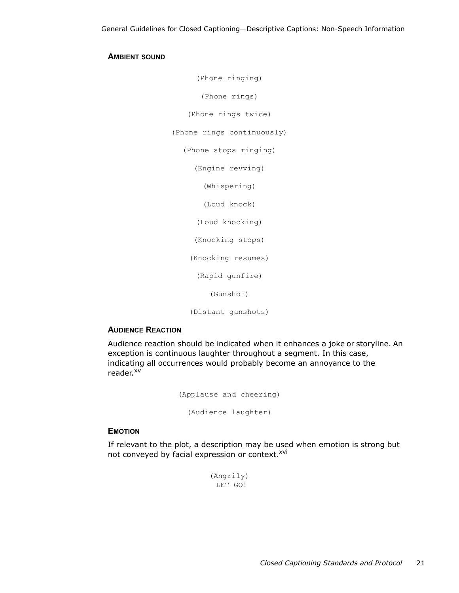### <span id="page-26-0"></span>**AMBIENT SOUND**

(Phone ringing) (Phone rings) (Phone rings twice) (Phone rings continuously) (Phone stops ringing) (Engine revving) (Whispering) (Loud knock) (Loud knocking) (Knocking stops) (Knocking resumes) (Rapid gunfire) (Gunshot)

(Distant gunshots)

### <span id="page-26-1"></span>**AUDIENCE REACTION**

Audience reaction should be indicated when it enhances a joke or storyline. An exception is continuous laughter throughout a segment. In this case, indicating all occurrences would probably become an annoyance to the reader.<sup>xv</sup>

(Applause and cheering)

(Audience laughter)

#### <span id="page-26-2"></span>**EMOTION**

If relevant to the plot, a description may be used when emotion is strong but not conveyed by facial expression or context.<sup>xvi</sup>

> (Angrily) LET GO!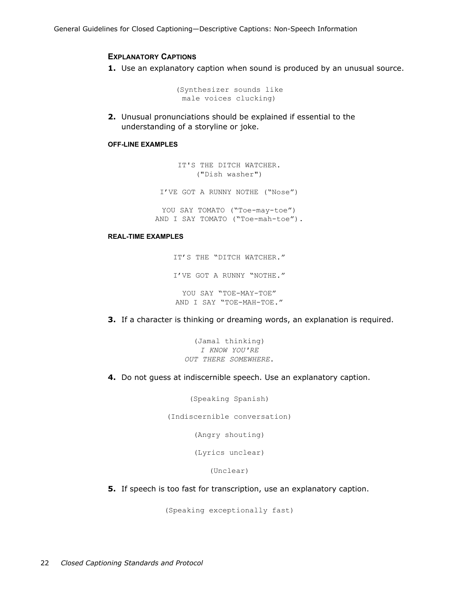#### <span id="page-27-0"></span>**EXPLANATORY CAPTIONS**

**1.** Use an explanatory caption when sound is produced by an unusual source.

```
(Synthesizer sounds like
 male voices clucking)
```
**2.** Unusual pronunciations should be explained if essential to the understanding of a storyline or joke.

#### **OFF-LINE EXAMPLES**

IT'S THE DITCH WATCHER. ("Dish washer") I'VE GOT A RUNNY NOTHE ("Nose") YOU SAY TOMATO ("Toe-may-toe") AND I SAY TOMATO ("Toe-mah-toe").

#### **REAL-TIME EXAMPLES**

IT'S THE "DITCH WATCHER." I'VE GOT A RUNNY "NOTHE." YOU SAY "TOE-MAY-TOE" AND I SAY "TOE-MAH-TOE."

**3.** If a character is thinking or dreaming words, an explanation is required.

(Jamal thinking) *I KNOW YOU'RE OUT THERE SOMEWHERE*.

**4.** Do not guess at indiscernible speech. Use an explanatory caption.

(Speaking Spanish)

(Indiscernible conversation)

(Angry shouting)

(Lyrics unclear)

(Unclear)

**5.** If speech is too fast for transcription, use an explanatory caption.

(Speaking exceptionally fast)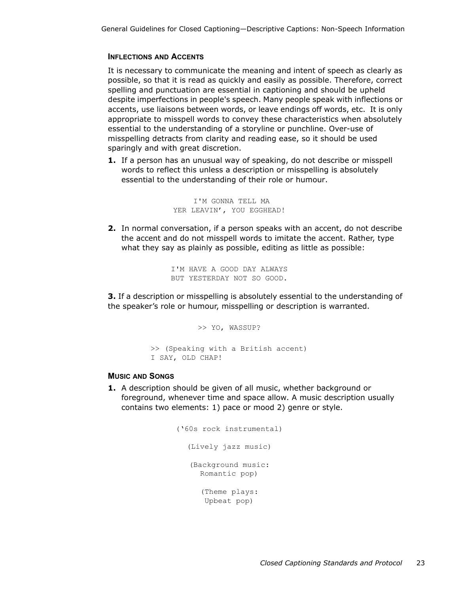#### <span id="page-28-0"></span>**INFLECTIONS AND ACCENTS**

It is necessary to communicate the meaning and intent of speech as clearly as possible, so that it is read as quickly and easily as possible. Therefore, correct spelling and punctuation are essential in captioning and should be upheld despite imperfections in people's speech. Many people speak with inflections or accents, use liaisons between words, or leave endings off words, etc. It is only appropriate to misspell words to convey these characteristics when absolutely essential to the understanding of a storyline or punchline. Over-use of misspelling detracts from clarity and reading ease, so it should be used sparingly and with great discretion.

**1.** If a person has an unusual way of speaking, do not describe or misspell words to reflect this unless a description or misspelling is absolutely essential to the understanding of their role or humour.

> I'M GONNA TELL MA YER LEAVIN', YOU EGGHEAD!

**2.** In normal conversation, if a person speaks with an accent, do not describe the accent and do not misspell words to imitate the accent. Rather, type what they say as plainly as possible, editing as little as possible:

> I'M HAVE A GOOD DAY ALWAYS BUT YESTERDAY NOT SO GOOD.

**3.** If a description or misspelling is absolutely essential to the understanding of the speaker's role or humour, misspelling or description is warranted.

> >> YO, WASSUP? >> (Speaking with a British accent) I SAY, OLD CHAP!

#### <span id="page-28-1"></span>**MUSIC AND SONGS**

**1.** A description should be given of all music, whether background or foreground, whenever time and space allow. A music description usually contains two elements: 1) pace or mood 2) genre or style.

```
('60s rock instrumental)
  (Lively jazz music)
  (Background music:
     Romantic pop)
     (Theme plays:
      Upbeat pop)
```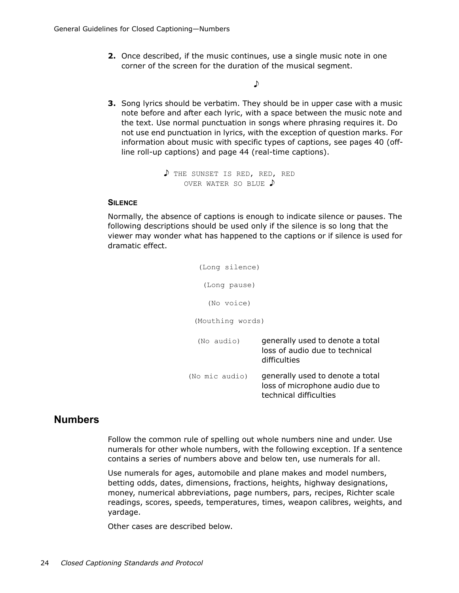**2.** Once described, if the music continues, use a single music note in one corner of the screen for the duration of the musical segment.

**3.** Song lyrics should be verbatim. They should be in upper case with a music note before and after each lyric, with a space between the music note and the text. Use normal punctuation in songs where phrasing requires it. Do not use end punctuation in lyrics, with the exception of question marks. For information about music with specific types of captions, see pages [40](#page-45-5) (offline roll-up captions) and page [44](#page-49-1) (real-time captions).

> THE SUNSET IS RED, RED, RED OVER WATER SO BLUE  $\Box$

#### <span id="page-29-0"></span>**SILENCE**

Normally, the absence of captions is enough to indicate silence or pauses. The following descriptions should be used only if the silence is so long that the viewer may wonder what has happened to the captions or if silence is used for dramatic effect.

| (Long silence)   |                                                                                               |  |
|------------------|-----------------------------------------------------------------------------------------------|--|
| (Long pause)     |                                                                                               |  |
| (No voice)       |                                                                                               |  |
| (Mouthing words) |                                                                                               |  |
| (No audio)       | generally used to denote a total<br>loss of audio due to technical<br>difficulties            |  |
| (No mic audio)   | generally used to denote a total<br>loss of microphone audio due to<br>technical difficulties |  |

# <span id="page-29-1"></span>**Numbers**

Follow the common rule of spelling out whole numbers nine and under. Use numerals for other whole numbers, with the following exception. If a sentence contains a series of numbers above and below ten, use numerals for all.

Use numerals for ages, automobile and plane makes and model numbers, betting odds, dates, dimensions, fractions, heights, highway designations, money, numerical abbreviations, page numbers, pars, recipes, Richter scale readings, scores, speeds, temperatures, times, weapon calibres, weights, and yardage.

Other cases are described below.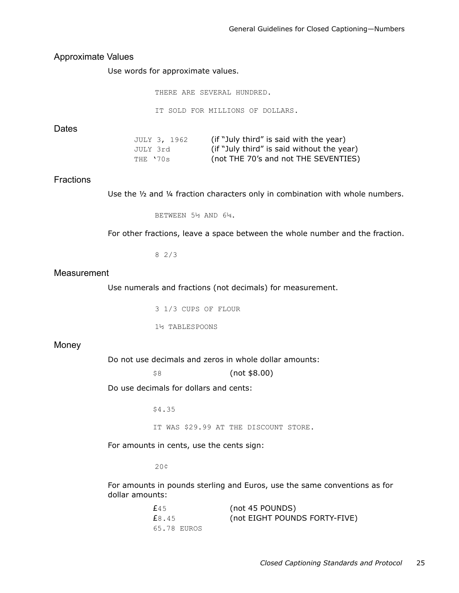#### <span id="page-30-0"></span>Approximate Values

Use words for approximate values.

THERE ARE SEVERAL HUNDRED.

IT SOLD FOR MILLIONS OF DOLLARS.

#### <span id="page-30-1"></span>**Dates**

| JULY 3, 1962 | (if "July third" is said with the year)    |
|--------------|--------------------------------------------|
| JULY 3rd     | (if "July third" is said without the year) |
| THE '70s     | (not THE 70's and not THE SEVENTIES)       |

## <span id="page-30-2"></span>Fractions

Use the ½ and ¼ fraction characters only in combination with whole numbers.

BETWEEN 5½ AND 6¼.

For other fractions, leave a space between the whole number and the fraction.

8 2/3

### <span id="page-30-3"></span>**Measurement**

Use numerals and fractions (not decimals) for measurement.

3 1/3 CUPS OF FLOUR

1½ TABLESPOONS

#### <span id="page-30-4"></span>Money

Do not use decimals and zeros in whole dollar amounts:

\$8 (not \$8.00)

Do use decimals for dollars and cents:

\$4.35

IT WAS \$29.99 AT THE DISCOUNT STORE.

For amounts in cents, use the cents sign:

20¢

For amounts in pounds sterling and Euros, use the same conventions as for dollar amounts:

| £45   |             | (not 45 POUNDS)               |
|-------|-------------|-------------------------------|
| £8.45 |             | (not EIGHT POUNDS FORTY-FIVE) |
|       | 65.78 EUROS |                               |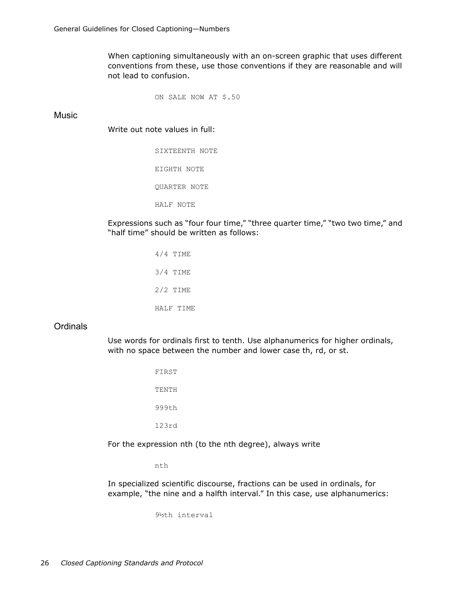When captioning simultaneously with an on-screen graphic that uses different conventions from these, use those conventions if they are reasonable and will not lead to confusion.

ON SALE NOW AT \$.50

<span id="page-31-0"></span>**Music** 

Write out note values in full:

SIXTEENTH NOTE EIGHTH NOTE QUARTER NOTE HALF NOTE

Expressions such as "four four time," "three quarter time," "two two time," and "half time" should be written as follows:

> 4/4 TIME 3/4 TIME 2/2 TIME HALF TIME

### <span id="page-31-1"></span>**Ordinals**

Use words for ordinals first to tenth. Use alphanumerics for higher ordinals, with no space between the number and lower case th, rd, or st.

> FIRST TENTH 999th 123rd

For the expression nth (to the nth degree), always write

nth

In specialized scientific discourse, fractions can be used in ordinals, for example, "the nine and a halfth interval." In this case, use alphanumerics:

9½th interval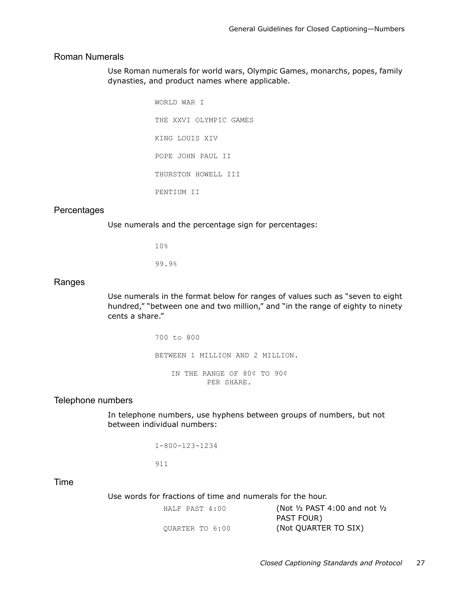#### <span id="page-32-0"></span>Roman Numerals

Use Roman numerals for world wars, Olympic Games, monarchs, popes, family dynasties, and product names where applicable.

> WORLD WAR I THE XXVI OLYMPIC GAMES KING LOUIS XIV POPE JOHN PAUL II THURSTON HOWELL III PENTIUM II

#### <span id="page-32-1"></span>**Percentages**

Use numerals and the percentage sign for percentages:

10%

99.9%

#### <span id="page-32-2"></span>Ranges

Use numerals in the format below for ranges of values such as "seven to eight hundred," "between one and two million," and "in the range of eighty to ninety cents a share."

> 700 to 800 BETWEEN 1 MILLION AND 2 MILLION. IN THE RANGE OF 80¢ TO 90¢ PER SHARE.

<span id="page-32-3"></span>Telephone numbers

In telephone numbers, use hyphens between groups of numbers, but not between individual numbers:

1-800-123-1234

911

<span id="page-32-4"></span>Time

Use words for fractions of time and numerals for the hour.

| HALF PAST 4:00  | (Not $\frac{1}{2}$ PAST 4:00 and not $\frac{1}{2}$ |
|-----------------|----------------------------------------------------|
|                 | PAST FOUR)                                         |
| OUARTER TO 6:00 | (Not QUARTER TO SIX)                               |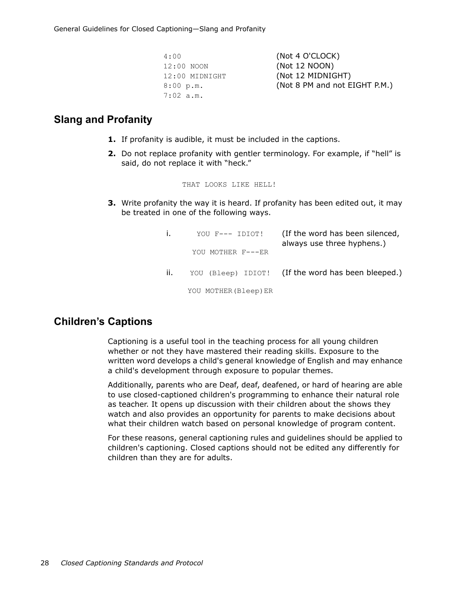```
4:00 (Not 4 O'CLOCK)
12:00 NOON (Not 12 NOON)
12:00 MIDNIGHT (Not 12 MIDNIGHT)
8:00 p.m. (Not 8 PM and not EIGHT P.M.)
7:02 a.m.
```
# <span id="page-33-0"></span>**Slang and Profanity**

- **1.** If profanity is audible, it must be included in the captions.
- **2.** Do not replace profanity with gentler terminology. For example, if "hell" is said, do not replace it with "heck."

THAT LOOKS LIKE HELL!

**3.** Write profanity the way it is heard. If profanity has been edited out, it may be treated in one of the following ways.

| YOU F--- IDIOT!       | (If the word has been silenced,<br>always use three hyphens.) |
|-----------------------|---------------------------------------------------------------|
| YOU MOTHER F---ER     |                                                               |
|                       | ii. YOU (Bleep) IDIOT! (If the word has been bleeped.)        |
| YOU MOTHER (Bleep) ER |                                                               |

# <span id="page-33-1"></span>**Children's Captions**

Captioning is a useful tool in the teaching process for all young children whether or not they have mastered their reading skills. Exposure to the written word develops a child's general knowledge of English and may enhance a child's development through exposure to popular themes.

Additionally, parents who are Deaf, deaf, deafened, or hard of hearing are able to use closed-captioned children's programming to enhance their natural role as teacher. It opens up discussion with their children about the shows they watch and also provides an opportunity for parents to make decisions about what their children watch based on personal knowledge of program content.

For these reasons, general captioning rules and guidelines should be applied to children's captioning. Closed captions should not be edited any differently for children than they are for adults.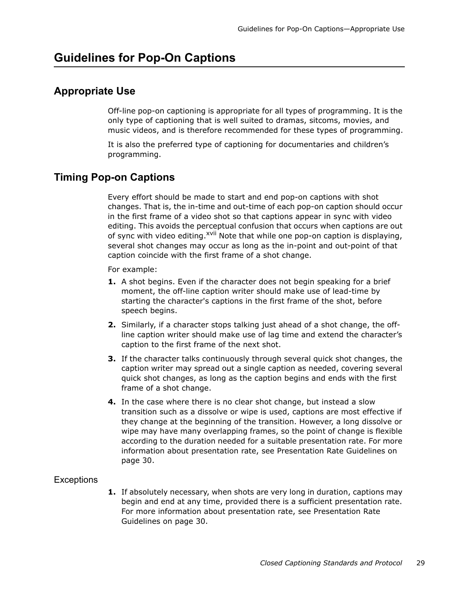# <span id="page-34-4"></span><span id="page-34-0"></span>**Guidelines for Pop-On Captions**

# <span id="page-34-1"></span>**Appropriate Use**

Off-line pop-on captioning is appropriate for all types of programming. It is the only type of captioning that is well suited to dramas, sitcoms, movies, and music videos, and is therefore recommended for these types of programming.

It is also the preferred type of captioning for documentaries and children's programming.

# <span id="page-34-2"></span>**Timing Pop-on Captions**

Every effort should be made to start and end pop-on captions with shot changes. That is, the in-time and out-time of each pop-on caption should occur in the first frame of a video shot so that captions appear in sync with video editing. This avoids the perceptual confusion that occurs when captions are out of sync with video editing.  $x^{\text{vii}}$  Note that while one pop-on caption is displaying, several shot changes may occur as long as the in-point and out-point of that caption coincide with the first frame of a shot change.

For example:

- **1.** A shot begins. Even if the character does not begin speaking for a brief moment, the off-line caption writer should make use of lead-time by starting the character's captions in the first frame of the shot, before speech begins.
- **2.** Similarly, if a character stops talking just ahead of a shot change, the offline caption writer should make use of lag time and extend the character's caption to the first frame of the next shot.
- **3.** If the character talks continuously through several quick shot changes, the caption writer may spread out a single caption as needed, covering several quick shot changes, as long as the caption begins and ends with the first frame of a shot change.
- **4.** In the case where there is no clear shot change, but instead a slow transition such as a dissolve or wipe is used, captions are most effective if they change at the beginning of the transition. However, a long dissolve or wipe may have many overlapping frames, so the point of change is flexible according to the duration needed for a suitable presentation rate. For more information about presentation rate, see [Presentation Rate](#page-35-0) Guidelines on page [30.](#page-35-0)

### <span id="page-34-3"></span>**Exceptions**

**1.** If absolutely necessary, when shots are very long in duration, captions may begin and end at any time, provided there is a sufficient presentation rate. For more information about presentation rate, see [Presentation Rate](#page-35-0) Guidelines on page [30](#page-35-0).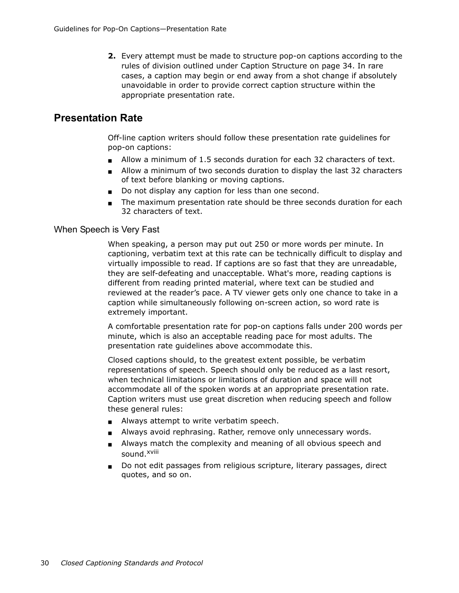**2.** Every attempt must be made to structure pop-on captions according to the rules of division outlined under [Caption Structure](#page-39-0) on page [34.](#page-39-0) In rare cases, a caption may begin or end away from a shot change if absolutely unavoidable in order to provide correct caption structure within the appropriate presentation rate.

# <span id="page-35-2"></span><span id="page-35-0"></span>**Presentation Rate**

Off-line caption writers should follow these presentation rate guidelines for pop-on captions:

- Allow a minimum of 1.5 seconds duration for each 32 characters of text.
- Allow a minimum of two seconds duration to display the last 32 characters of text before blanking or moving captions.
- Do not display any caption for less than one second.
- The maximum presentation rate should be three seconds duration for each 32 characters of text.

## <span id="page-35-1"></span>When Speech is Very Fast

When speaking, a person may put out 250 or more words per minute. In captioning, verbatim text at this rate can be technically difficult to display and virtually impossible to read. If captions are so fast that they are unreadable, they are self-defeating and unacceptable. What's more, reading captions is different from reading printed material, where text can be studied and reviewed at the reader's pace. A TV viewer gets only one chance to take in a caption while simultaneously following on-screen action, so word rate is extremely important.

A comfortable presentation rate for pop-on captions falls under 200 words per minute, which is also an acceptable reading pace for most adults. The presentation rate guidelines above accommodate this.

Closed captions should, to the greatest extent possible, be verbatim representations of speech. Speech should only be reduced as a last resort, when technical limitations or limitations of duration and space will not accommodate all of the spoken words at an appropriate presentation rate. Caption writers must use great discretion when reducing speech and follow these general rules:

- Always attempt to write verbatim speech.
- Always avoid rephrasing. Rather, remove only unnecessary words.
- Always match the complexity and meaning of all obvious speech and sound.<sup>xviii</sup>
- Do not edit passages from religious scripture, literary passages, direct quotes, and so on.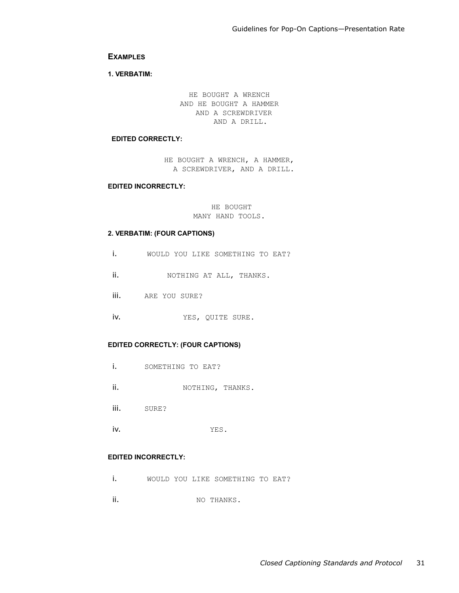#### **EXAMPLES**

#### **1. VERBATIM:**

<span id="page-36-0"></span>HE BOUGHT A WRENCH AND HE BOUGHT A HAMMER AND A SCREWDRIVER AND A DRILL.

#### **EDITED CORRECTLY:**

HE BOUGHT A WRENCH, A HAMMER, A SCREWDRIVER, AND A DRILL.

#### **EDITED INCORRECTLY:**

 HE BOUGHT MANY HAND TOOLS.

#### **2. VERBATIM: (FOUR CAPTIONS)**

i. WOULD YOU LIKE SOMETHING TO EAT? ii. NOTHING AT ALL, THANKS. iii. ARE YOU SURE? iv. YES, QUITE SURE.

#### **EDITED CORRECTLY: (FOUR CAPTIONS)**

- i. SOMETHING TO EAT?
- ii. NOTHING, THANKS.
- iii. SURE?
- iv. YES.

#### **EDITED INCORRECTLY:**

- i. WOULD YOU LIKE SOMETHING TO EAT?
- ii. NO THANKS.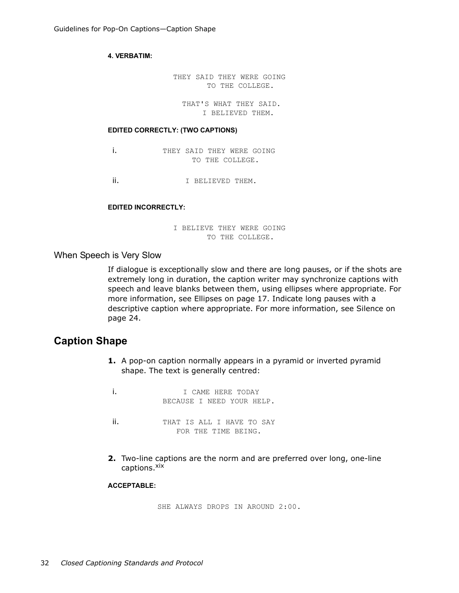#### **4. VERBATIM:**

<span id="page-37-3"></span>THEY SAID THEY WERE GOING TO THE COLLEGE.

 THAT'S WHAT THEY SAID. I BELIEVED THEM.

#### **EDITED CORRECTLY: (TWO CAPTIONS)**

i. THEY SAID THEY WERE GOING TO THE COLLEGE.

ii. The DELIEVED THEM.

#### **EDITED INCORRECTLY:**

I BELIEVE THEY WERE GOING TO THE COLLEGE.

#### <span id="page-37-2"></span>When Speech is Very Slow

If dialogue is exceptionally slow and there are long pauses, or if the shots are extremely long in duration, the caption writer may synchronize captions with speech and leave blanks between them, using ellipses where appropriate. For more information, see [Ellipses on page 17](#page-22-0). Indicate long pauses with a descriptive caption where appropriate. For more information, see [Silence on](#page-29-0)  [page 24.](#page-29-0)

### **Caption Shape**

<span id="page-37-1"></span><span id="page-37-0"></span>**1.** A pop-on caption normally appears in a pyramid or inverted pyramid shape. The text is generally centred:

i. I CAME HERE TODAY BECAUSE I NEED YOUR HELP.

- ii. THAT IS ALL I HAVE TO SAY FOR THE TIME BEING.
- **2.** Two-line captions are the norm and are preferred over long, one-line captions.<sup>xix</sup>

#### **ACCEPTABLE:**

SHE ALWAYS DROPS IN AROUND 2:00.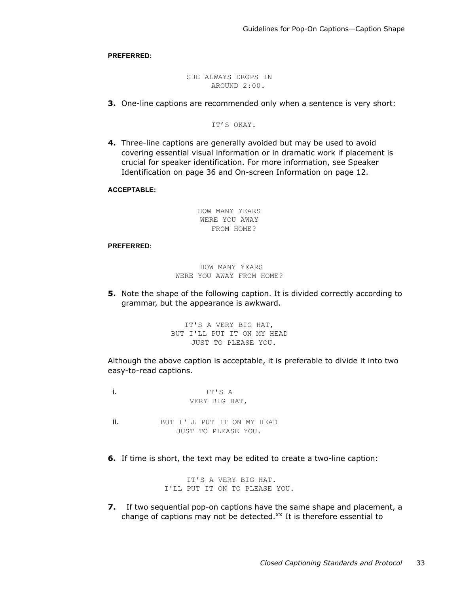#### **PREFERRED:**

SHE ALWAYS DROPS IN AROUND 2:00.

**3.** One-line captions are recommended only when a sentence is very short:

IT'S OKAY.

**4.** Three-line captions are generally avoided but may be used to avoid covering essential visual information or in dramatic work if placement is crucial for speaker identification. For more information, see [Speaker](#page-41-0)  [Identification on page 36](#page-41-0) and [On-screen Information on page 12](#page-17-0).

#### **ACCEPTABLE:**

HOW MANY YEARS WERE YOU AWAY FROM HOME?

#### **PREFERRED:**

 HOW MANY YEARS WERE YOU AWAY FROM HOME?

**5.** Note the shape of the following caption. It is divided correctly according to grammar, but the appearance is awkward.

> IT'S A VERY BIG HAT, BUT I'LL PUT IT ON MY HEAD JUST TO PLEASE YOU.

Although the above caption is acceptable, it is preferable to divide it into two easy-to-read captions.

i. IT'S A VERY BIG HAT,

ii. BUT I'LL PUT IT ON MY HEAD JUST TO PLEASE YOU.

**6.** If time is short, the text may be edited to create a two-line caption:

 IT'S A VERY BIG HAT. I'LL PUT IT ON TO PLEASE YOU.

**7.** If two sequential pop-on captions have the same shape and placement, a change of captions may not be detected. $^{xx}$  It is therefore essential to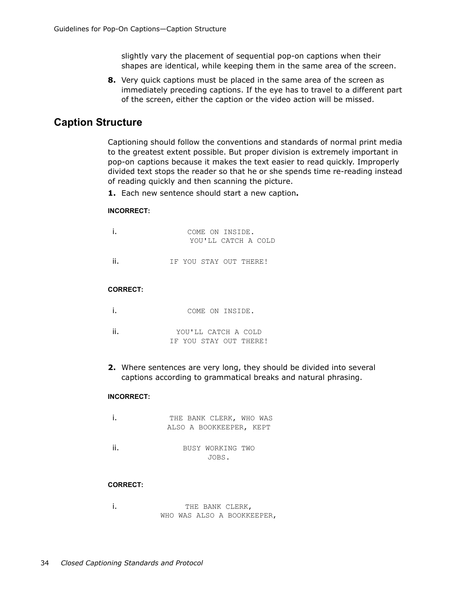<span id="page-39-1"></span>slightly vary the placement of sequential pop-on captions when their shapes are identical, while keeping them in the same area of the screen.

**8.** Very quick captions must be placed in the same area of the screen as immediately preceding captions. If the eye has to travel to a different part of the screen, either the caption or the video action will be missed.

### **Caption Structure**

<span id="page-39-2"></span><span id="page-39-0"></span>Captioning should follow the conventions and standards of normal print media to the greatest extent possible. But proper division is extremely important in pop-on captions because it makes the text easier to read quickly. Improperly divided text stops the reader so that he or she spends time re-reading instead of reading quickly and then scanning the picture.

**1.** Each new sentence should start a new caption**.**

#### **INCORRECT:**

|                 | COME ON INSIDE.<br>YOU'LL CATCH A COLD        |
|-----------------|-----------------------------------------------|
| ii.             | IF YOU STAY OUT THERE!                        |
| <b>CORRECT:</b> |                                               |
|                 | COME ON INSIDE.                               |
| . .<br>ii.      | YOU'LL CATCH A COLD<br>IF YOU STAY OUT THERE! |

**2.** Where sentences are very long, they should be divided into several captions according to grammatical breaks and natural phrasing.

#### **INCORRECT:**

|     | THE BANK CLERK, WHO WAS   |  |
|-----|---------------------------|--|
|     | ALSO A BOOKKEEPER, KEPT   |  |
| ii. | BUSY WORKING TWO<br>JOBS. |  |

#### **CORRECT:**

i. THE BANK CLERK, WHO WAS ALSO A BOOKKEEPER,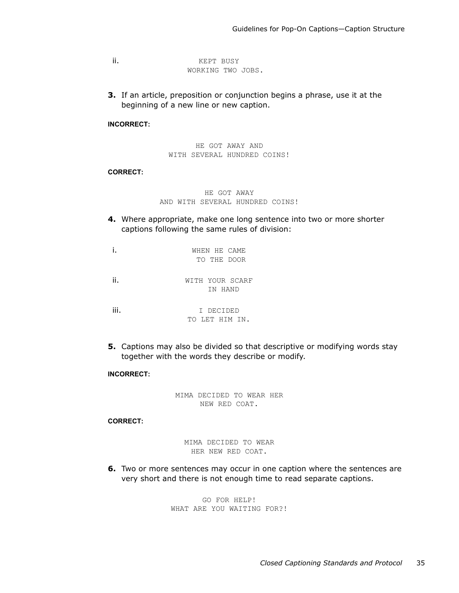ii. KEPT BUSY WORKING TWO JOBS.

**3.** If an article, preposition or conjunction begins a phrase, use it at the beginning of a new line or new caption.

#### **INCORRECT:**

HE GOT AWAY AND WITH SEVERAL HUNDRED COINS!

#### **CORRECT:**

HE GOT AWAY AND WITH SEVERAL HUNDRED COINS!

**4.** Where appropriate, make one long sentence into two or more shorter captions following the same rules of division:

|    | WHEN HE CAME    |
|----|-----------------|
|    | TO THE DOOR     |
| н. | WITH YOUR SCARF |
|    | IN HAND         |
|    |                 |
|    | I DECIDED       |

**5.** Captions may also be divided so that descriptive or modifying words stay together with the words they describe or modify.

#### **INCORRECT:**

MIMA DECIDED TO WEAR HER NEW RED COAT.

TO LET HIM IN.

**CORRECT:**

MIMA DECIDED TO WEAR HER NEW RED COAT.

**6.** Two or more sentences may occur in one caption where the sentences are very short and there is not enough time to read separate captions.

> GO FOR HELP! WHAT ARE YOU WAITING FOR?!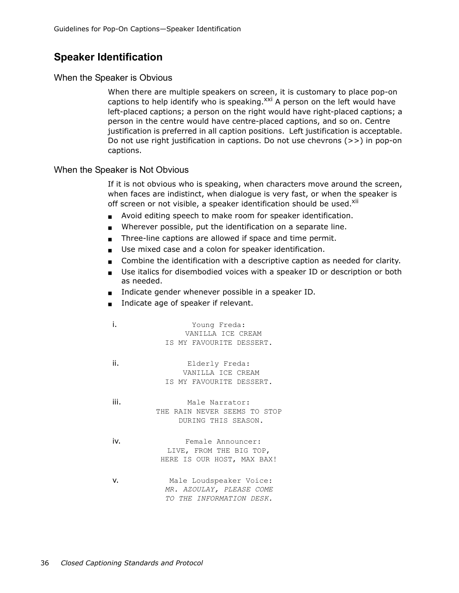### <span id="page-41-0"></span>**Speaker Identification**

#### When the Speaker is Obvious

<span id="page-41-5"></span><span id="page-41-4"></span><span id="page-41-2"></span><span id="page-41-1"></span>When there are multiple speakers on screen, it is customary to place pop-on captions to help identify who is speaking. $x^{\times i}$  A person on the left would have left-placed captions; a person on the right would have right-placed captions; a person in the centre would have centre-placed captions, and so on. Centre justification is preferred in all caption positions. Left justification is acceptable. Do not use right justification in captions. Do not use chevrons (>>) in pop-on captions.

#### When the Speaker is Not Obvious

If it is not obvious who is speaking, when characters move around the screen, when faces are indistinct, when dialogue is very fast, or when the speaker is off screen or not visible, a speaker identification should be used.<sup>Xii</sup>

- Avoid editing speech to make room for speaker identification.
- Wherever possible, put the identification on a separate line.
- Three-line captions are allowed if space and time permit.
- Use mixed case and a colon for speaker identification.
- <span id="page-41-3"></span>■ Combine the identification with a descriptive caption as needed for clarity.
- Use italics for disembodied voices with a speaker ID or description or both as needed.
- <span id="page-41-6"></span>Indicate gender whenever possible in a speaker ID.
- Indicate age of speaker if relevant.

| i.   | Young Freda:<br>VANILLA ICE CREAM<br>IS MY FAVOURITE DESSERT.                   |
|------|---------------------------------------------------------------------------------|
| ii.  | Elderly Freda:<br>VANILLA ICE CREAM<br>IS MY FAVOURITE DESSERT.                 |
| iii. | Male Narrator:<br>THE RAIN NEVER SEEMS TO STOP<br>DURING THIS SEASON.           |
| iv.  | Female Announcer:<br>LIVE, FROM THE BIG TOP,<br>HERE IS OUR HOST, MAX BAX!      |
|      | Male Loudspeaker Voice:<br>MR. AZOULAY, PLEASE COME<br>TO THE INFORMATION DESK. |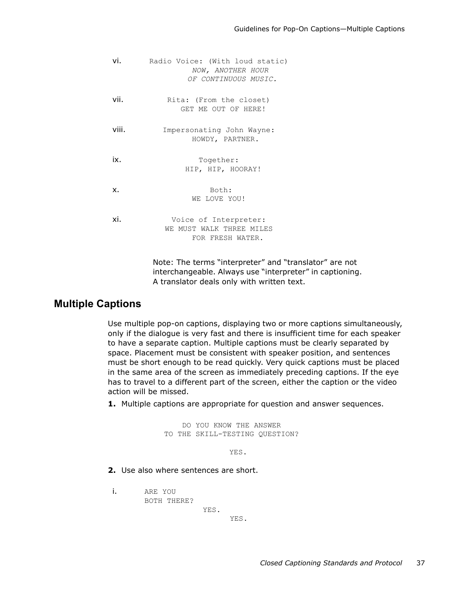| vi.   | Radio Voice: (With loud static)<br>NOW, ANOTHER HOUR<br>OF CONTINUOUS MUSIC. |
|-------|------------------------------------------------------------------------------|
| vii.  | Rita: (From the closet)<br>GET ME OUT OF HERE!                               |
| viii. | Impersonating John Wayne:<br>HOWDY, PARTNER.                                 |
| ix.   | Together:<br>HIP, HIP, HOORAY!                                               |
| x.    | Both:<br>WE LOVE YOU!                                                        |
| xi.   | Voice of Interpreter:<br>WE MUST WALK THREE MILES<br>FOR FRESH WATER.        |
|       | Note: The terms "internreter" and "tı                                        |

<span id="page-42-2"></span><span id="page-42-1"></span><span id="page-42-0"></span>e: The terms "interpreter" and "translator" are not interchangeable. Always use "interpreter" in captioning. A translator deals only with written text.

### **Multiple Captions**

Use multiple pop-on captions, displaying two or more captions simultaneously, only if the dialogue is very fast and there is insufficient time for each speaker to have a separate caption. Multiple captions must be clearly separated by space. Placement must be consistent with speaker position, and sentences must be short enough to be read quickly. Very quick captions must be placed in the same area of the screen as immediately preceding captions. If the eye has to travel to a different part of the screen, either the caption or the video action will be missed.

**1.** Multiple captions are appropriate for question and answer sequences.

 DO YOU KNOW THE ANSWER TO THE SKILL-TESTING QUESTION?

YES.

**2.** Use also where sentences are short.

i. ARE YOU BOTH THERE? YES.

YES.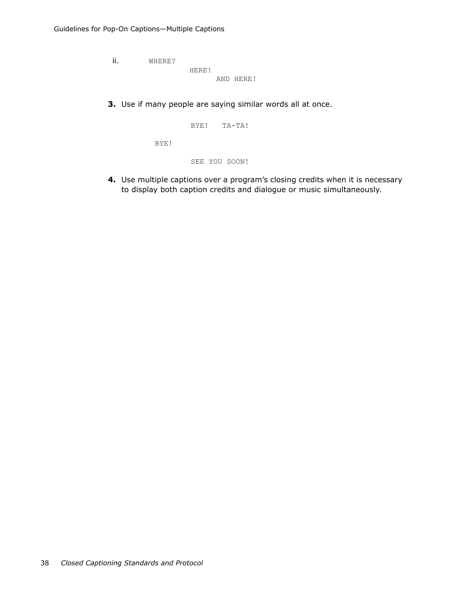ii. WHERE? HERE! AND HERE!

**3.** Use if many people are saying similar words all at once.

```
 BYE! TA-TA!
BYE!
        SEE YOU SOON!
```
**4.** Use multiple captions over a program's closing credits when it is necessary to display both caption credits and dialogue or music simultaneously.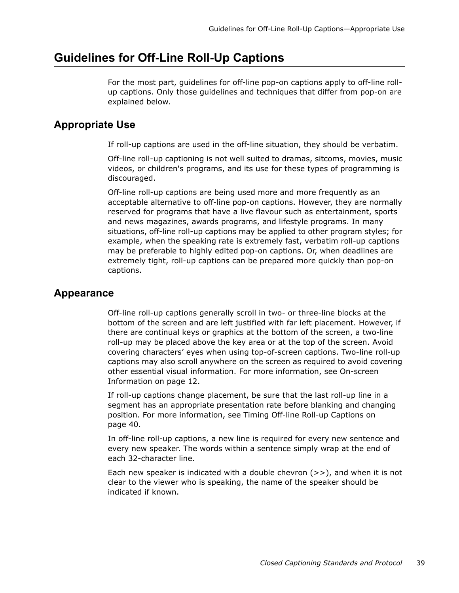## <span id="page-44-3"></span>**Guidelines for Off-Line Roll-Up Captions**

<span id="page-44-8"></span><span id="page-44-6"></span>For the most part, guidelines for off-line pop-on captions apply to off-line rollup captions. Only those guidelines and techniques that differ from pop-on are explained below.

### **Appropriate Use**

<span id="page-44-19"></span><span id="page-44-9"></span>If roll-up captions are used in the off-line situation, they should be verbatim.

<span id="page-44-18"></span><span id="page-44-16"></span><span id="page-44-15"></span><span id="page-44-13"></span><span id="page-44-12"></span>Off-line roll-up captioning is not well suited to dramas, sitcoms, movies, music videos, or children's programs, and its use for these types of programming is discouraged.

<span id="page-44-17"></span><span id="page-44-14"></span><span id="page-44-11"></span><span id="page-44-7"></span><span id="page-44-5"></span>Off-line roll-up captions are being used more and more frequently as an acceptable alternative to off-line pop-on captions. However, they are normally reserved for programs that have a live flavour such as entertainment, sports and news magazines, awards programs, and lifestyle programs. In many situations, off-line roll-up captions may be applied to other program styles; for example, when the speaking rate is extremely fast, verbatim roll-up captions may be preferable to highly edited pop-on captions. Or, when deadlines are extremely tight, roll-up captions can be prepared more quickly than pop-on captions.

### <span id="page-44-0"></span>**Appearance**

<span id="page-44-4"></span><span id="page-44-1"></span>Off-line roll-up captions generally scroll in two- or three-line blocks at the bottom of the screen and are left justified with far left placement. However, if there are continual keys or graphics at the bottom of the screen, a two-line roll-up may be placed above the key area or at the top of the screen. Avoid covering characters' eyes when using top-of-screen captions. Two-line roll-up captions may also scroll anywhere on the screen as required to avoid covering other essential visual information. For more information, see [On-screen](#page-17-0)  [Information on page 12](#page-17-0).

If roll-up captions change placement, be sure that the last roll-up line in a segment has an appropriate presentation rate before blanking and changing position. For more information, see [Timing Off-line Roll-up Captions on](#page-45-0)  [page 40.](#page-45-0)

In off-line roll-up captions, a new line is required for every new sentence and every new speaker. The words within a sentence simply wrap at the end of each 32-character line.

<span id="page-44-10"></span><span id="page-44-2"></span>Each new speaker is indicated with a double chevron  $(>)$ , and when it is not clear to the viewer who is speaking, the name of the speaker should be indicated if known.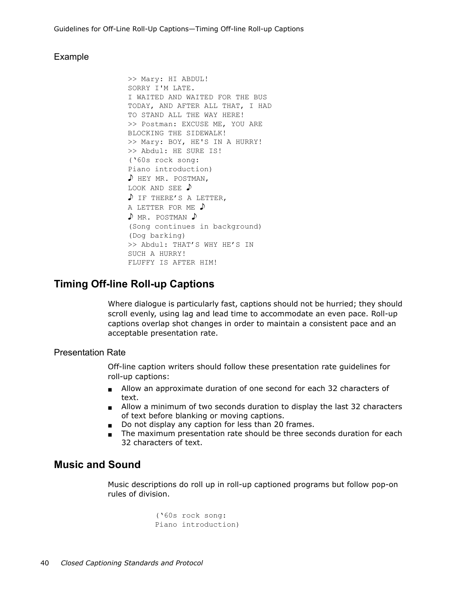### Example

```
>> Mary: HI ABDUL!
SORRY I'M LATE.
I WAITED AND WAITED FOR THE BUS
TODAY, AND AFTER ALL THAT, I HAD
TO STAND ALL THE WAY HERE!
>> Postman: EXCUSE ME, YOU ARE
BLOCKING THE SIDEWALK!
>> Mary: BOY, HE'S IN A HURRY!
>> Abdul: HE SURE IS!
('60s rock song:
Piano introduction)
\Box HEY MR. POSTMAN,
LOOK AND SEE \Box\Box IF THERE'S A LETTER,
A LETTER FOR ME \Box\Box MR. POSTMAN \Box(Song continues in background)
(Dog barking)
>> Abdul: THAT'S WHY HE'S IN
SUCH A HURRY!
FLUFFY IS AFTER HIM!
```
### <span id="page-45-0"></span>**Timing Off-line Roll-up Captions**

<span id="page-45-1"></span>Where dialogue is particularly fast, captions should not be hurried; they should scroll evenly, using lag and lead time to accommodate an even pace. Roll-up captions overlap shot changes in order to maintain a consistent pace and an acceptable presentation rate.

#### Presentation Rate

Off-line caption writers should follow these presentation rate guidelines for roll-up captions:

- Allow an approximate duration of one second for each 32 characters of text.
- Allow a minimum of two seconds duration to display the last 32 characters of text before blanking or moving captions.
- Do not display any caption for less than 20 frames.
- <span id="page-45-3"></span>■ The maximum presentation rate should be three seconds duration for each 32 characters of text.

### <span id="page-45-2"></span>**Music and Sound**

Music descriptions do roll up in roll-up captioned programs but follow pop-on rules of division.

```
('60s rock song:
Piano introduction)
```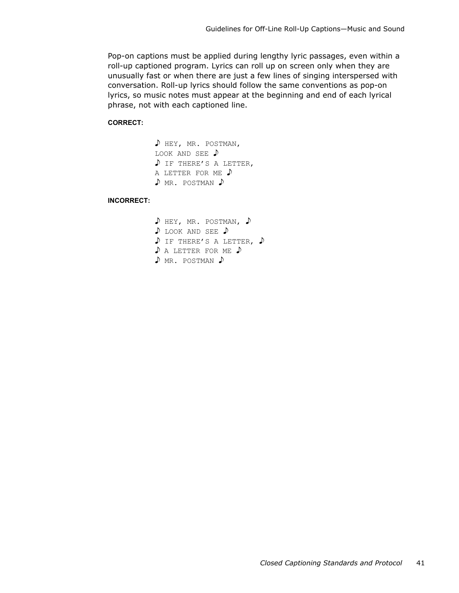Pop-on captions must be applied during lengthy lyric passages, even within a roll-up captioned program. Lyrics can roll up on screen only when they are unusually fast or when there are just a few lines of singing interspersed with conversation. Roll-up lyrics should follow the same conventions as pop-on lyrics, so music notes must appear at the beginning and end of each lyrical phrase, not with each captioned line.

#### **CORRECT:**

 $\triangle$  HEY, MR. POSTMAN, LOOK AND SEE  $\Box$ IF THERE'S A LETTER, A LETTER FOR ME  $\Box$  $\sqrt{MR}$ . POSTMAN  $\sqrt{MR}$ 

#### **INCORRECT:**

 $\Box$  HEY, MR. POSTMAN,  $\Box$  $\Box$  LOOK AND SEE  $\Box$  $\Box$  IF THERE'S A LETTER,  $\Box$  $\Box$  A LETTER FOR ME  $\Box$  $\Box$  MR. POSTMAN  $\Box$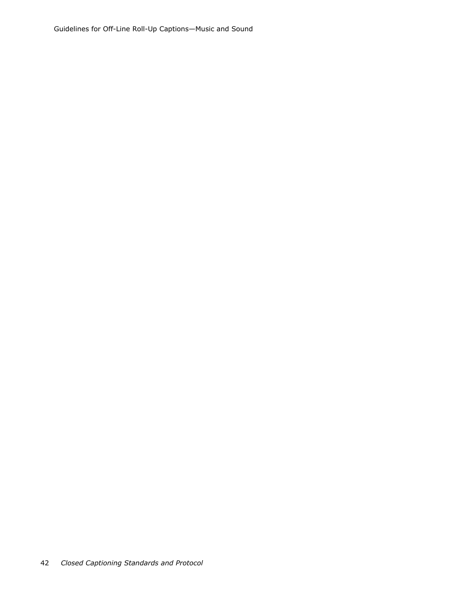Guidelines for Off-Line Roll-Up Captions—Music and Sound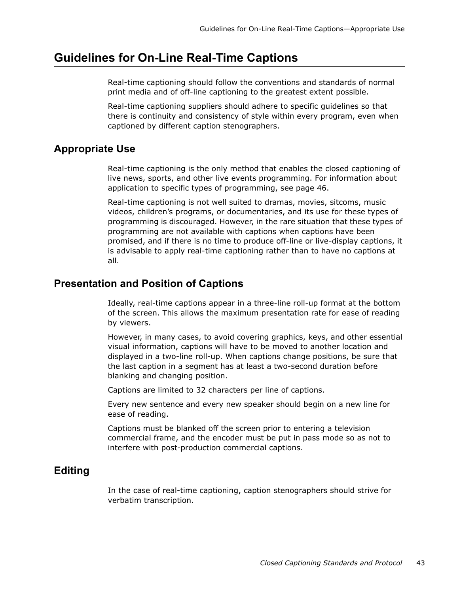## <span id="page-48-2"></span>**Guidelines for On-Line Real-Time Captions**

<span id="page-48-5"></span><span id="page-48-4"></span>Real-time captioning should follow the conventions and standards of normal print media and of off-line captioning to the greatest extent possible.

Real-time captioning suppliers should adhere to specific guidelines so that there is continuity and consistency of style within every program, even when captioned by different caption stenographers.

### **Appropriate Use**

<span id="page-48-17"></span><span id="page-48-15"></span><span id="page-48-12"></span><span id="page-48-6"></span>Real-time captioning is the only method that enables the closed captioning of live news, sports, and other live events programming. For information about application to specific types of programming, see page [46](#page-51-0).

<span id="page-48-16"></span><span id="page-48-14"></span><span id="page-48-13"></span><span id="page-48-11"></span><span id="page-48-10"></span><span id="page-48-9"></span>Real-time captioning is not well suited to dramas, movies, sitcoms, music videos, children's programs, or documentaries, and its use for these types of programming is discouraged. However, in the rare situation that these types of programming are not available with captions when captions have been promised, and if there is no time to produce off-line or live-display captions, it is advisable to apply real-time captioning rather than to have no captions at all.

### <span id="page-48-8"></span>**Presentation and Position of Captions**

<span id="page-48-0"></span>Ideally, real-time captions appear in a three-line roll-up format at the bottom of the screen. This allows the maximum presentation rate for ease of reading by viewers.

<span id="page-48-3"></span>However, in many cases, to avoid covering graphics, keys, and other essential visual information, captions will have to be moved to another location and displayed in a two-line roll-up. When captions change positions, be sure that the last caption in a segment has at least a two-second duration before blanking and changing position.

<span id="page-48-7"></span>Captions are limited to 32 characters per line of captions.

Every new sentence and every new speaker should begin on a new line for ease of reading.

Captions must be blanked off the screen prior to entering a television commercial frame, and the encoder must be put in pass mode so as not to interfere with post-production commercial captions.

### **Editing**

<span id="page-48-18"></span><span id="page-48-1"></span>In the case of real-time captioning, caption stenographers should strive for verbatim transcription.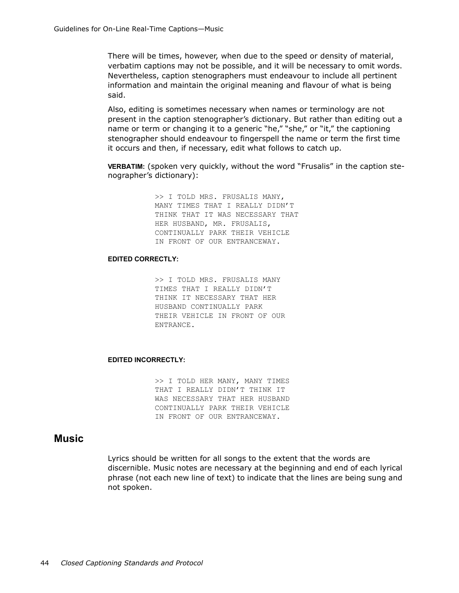<span id="page-49-7"></span>There will be times, however, when due to the speed or density of material, verbatim captions may not be possible, and it will be necessary to omit words. Nevertheless, caption stenographers must endeavour to include all pertinent information and maintain the original meaning and flavour of what is being said.

<span id="page-49-6"></span>Also, editing is sometimes necessary when names or terminology are not present in the caption stenographer's dictionary. But rather than editing out a name or term or changing it to a generic "he," "she," or "it," the captioning stenographer should endeavour to fingerspell the name or term the first time it occurs and then, if necessary, edit what follows to catch up.

**VERBATIM:** (spoken very quickly, without the word "Frusalis" in the caption stenographer's dictionary):

> <span id="page-49-3"></span><span id="page-49-2"></span><span id="page-49-1"></span>>> I TOLD MRS. FRUSALIS MANY, MANY TIMES THAT I REALLY DIDN'T THINK THAT IT WAS NECESSARY THAT HER HUSBAND, MR. FRUSALIS, CONTINUALLY PARK THEIR VEHICLE IN FRONT OF OUR ENTRANCEWAY.

#### **EDITED CORRECTLY:**

>> I TOLD MRS. FRUSALIS MANY TIMES THAT I REALLY DIDN'T THINK IT NECESSARY THAT HER HUSBAND CONTINUALLY PARK THEIR VEHICLE IN FRONT OF OUR ENTRANCE.

#### **EDITED INCORRECTLY:**

>> I TOLD HER MANY, MANY TIMES THAT I REALLY DIDN'T THINK IT WAS NECESSARY THAT HER HUSBAND CONTINUALLY PARK THEIR VEHICLE IN FRONT OF OUR ENTRANCEWAY.

#### <span id="page-49-5"></span><span id="page-49-0"></span>**Music**

<span id="page-49-4"></span>Lyrics should be written for all songs to the extent that the words are discernible. Music notes are necessary at the beginning and end of each lyrical phrase (not each new line of text) to indicate that the lines are being sung and not spoken.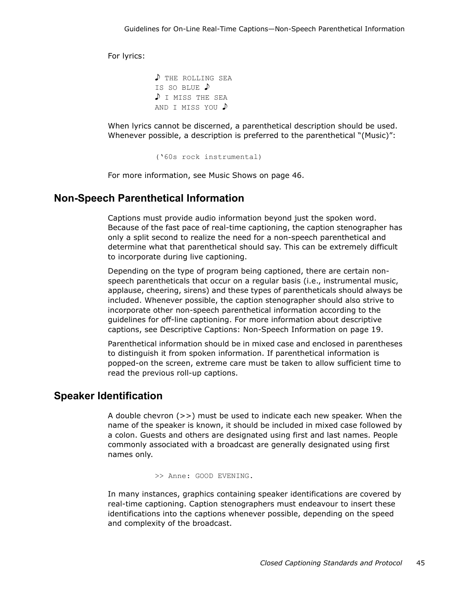For lyrics:

 $\Box$  THE ROLLING SEA IS SO BLUE  $\Box$  $\Box$  I MISS THE SEA AND I MISS YOU  $\sqrt{ }$ 

When lyrics cannot be discerned, a parenthetical description should be used. Whenever possible, a description is preferred to the parenthetical "(Music)":

```
('60s rock instrumental)
```
For more information, see [Music Shows on page 46.](#page-51-1)

### **Non-Speech Parenthetical Information**

Captions must provide audio information beyond just the spoken word. Because of the fast pace of real-time captioning, the caption stenographer has only a split second to realize the need for a non-speech parenthetical and determine what that parenthetical should say. This can be extremely difficult to incorporate during live captioning.

Depending on the type of program being captioned, there are certain nonspeech parentheticals that occur on a regular basis (i.e., instrumental music, applause, cheering, sirens) and these types of parentheticals should always be included. Whenever possible, the caption stenographer should also strive to incorporate other non-speech parenthetical information according to the guidelines for off-line captioning. For more information about descriptive captions, see [Descriptive Captions: Non-Speech Information on page 19](#page-24-0).

<span id="page-50-3"></span>Parenthetical information should be in mixed case and enclosed in parentheses to distinguish it from spoken information. If parenthetical information is popped-on the screen, extreme care must be taken to allow sufficient time to read the previous roll-up captions.

### **Speaker Identification**

<span id="page-50-4"></span><span id="page-50-1"></span><span id="page-50-0"></span>A double chevron (>>) must be used to indicate each new speaker. When the name of the speaker is known, it should be included in mixed case followed by a colon. Guests and others are designated using first and last names. People commonly associated with a broadcast are generally designated using first names only.

>> Anne: GOOD EVENING.

In many instances, graphics containing speaker identifications are covered by real-time captioning. Caption stenographers must endeavour to insert these identifications into the captions whenever possible, depending on the speed and complexity of the broadcast.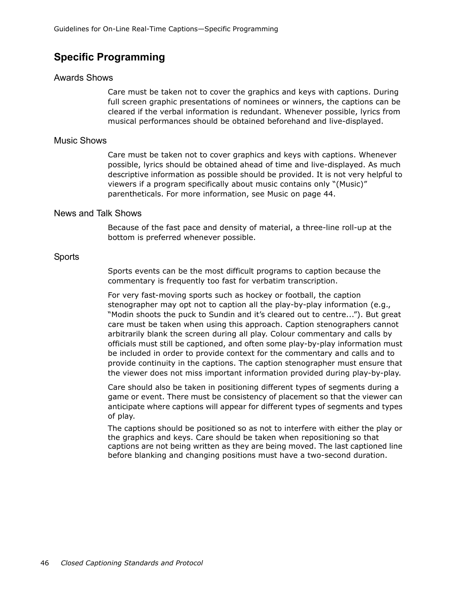## <span id="page-51-0"></span>**Specific Programming**

#### Awards Shows

<span id="page-51-6"></span><span id="page-51-3"></span><span id="page-51-2"></span>Care must be taken not to cover the graphics and keys with captions. During full screen graphic presentations of nominees or winners, the captions can be cleared if the verbal information is redundant. Whenever possible, lyrics from musical performances should be obtained beforehand and live-displayed.

#### <span id="page-51-1"></span>Music Shows

<span id="page-51-7"></span>Care must be taken not to cover graphics and keys with captions. Whenever possible, lyrics should be obtained ahead of time and live-displayed. As much descriptive information as possible should be provided. It is not very helpful to viewers if a program specifically about music contains only "(Music)" parentheticals. For more information, see [Music on page 44](#page-49-0).

#### <span id="page-51-8"></span>News and Talk Shows

<span id="page-51-4"></span>Because of the fast pace and density of material, a three-line roll-up at the bottom is preferred whenever possible.

#### <span id="page-51-5"></span>**Sports**

<span id="page-51-9"></span>Sports events can be the most difficult programs to caption because the commentary is frequently too fast for verbatim transcription.

For very fast-moving sports such as hockey or football, the caption stenographer may opt not to caption all the play-by-play information (e.g., "Modin shoots the puck to Sundin and it's cleared out to centre..."). But great care must be taken when using this approach. Caption stenographers cannot arbitrarily blank the screen during all play. Colour commentary and calls by officials must still be captioned, and often some play-by-play information must be included in order to provide context for the commentary and calls and to provide continuity in the captions. The caption stenographer must ensure that the viewer does not miss important information provided during play-by-play.

Care should also be taken in positioning different types of segments during a game or event. There must be consistency of placement so that the viewer can anticipate where captions will appear for different types of segments and types of play.

The captions should be positioned so as not to interfere with either the play or the graphics and keys. Care should be taken when repositioning so that captions are not being written as they are being moved. The last captioned line before blanking and changing positions must have a two-second duration.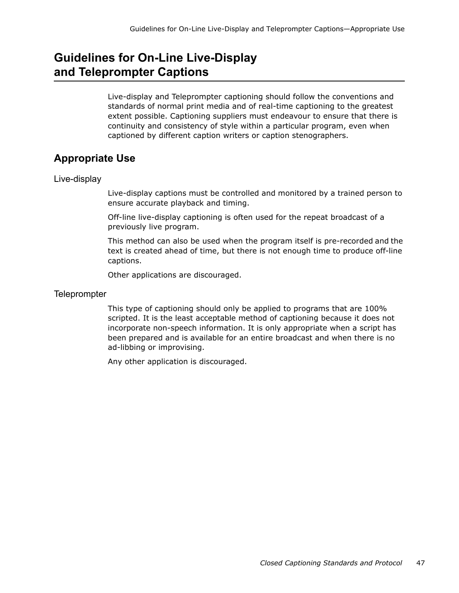# <span id="page-52-0"></span>**Guidelines for On-Line Live-Display and Teleprompter Captions**

<span id="page-52-3"></span>Live-display and Teleprompter captioning should follow the conventions and standards of normal print media and of real-time captioning to the greatest extent possible. Captioning suppliers must endeavour to ensure that there is continuity and consistency of style within a particular program, even when captioned by different caption writers or caption stenographers.

## **Appropriate Use**

### Live-display

<span id="page-52-1"></span>Live-display captions must be controlled and monitored by a trained person to ensure accurate playback and timing.

Off-line live-display captioning is often used for the repeat broadcast of a previously live program.

<span id="page-52-5"></span>This method can also be used when the program itself is pre-recorded and the text is created ahead of time, but there is not enough time to produce off-line captions.

<span id="page-52-4"></span>Other applications are discouraged.

### **Teleprompter**

<span id="page-52-6"></span><span id="page-52-2"></span>This type of captioning should only be applied to programs that are 100% scripted. It is the least acceptable method of captioning because it does not incorporate non-speech information. It is only appropriate when a script has been prepared and is available for an entire broadcast and when there is no ad-libbing or improvising.

Any other application is discouraged.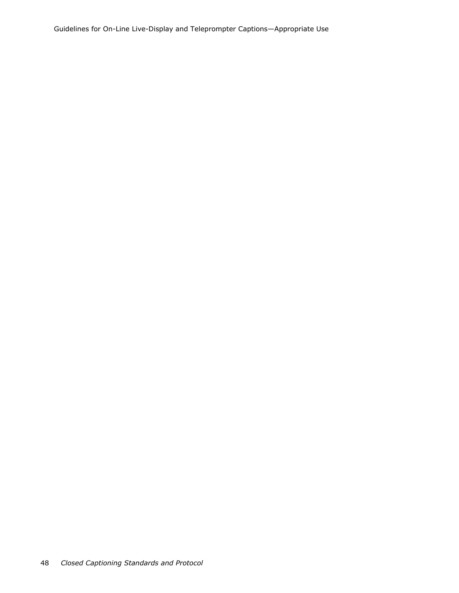Guidelines for On-Line Live-Display and Teleprompter Captions—Appropriate Use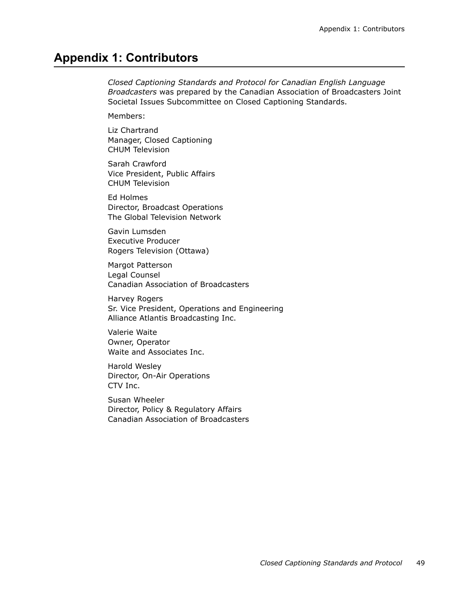### <span id="page-54-0"></span>**Appendix 1: Contributors**

<span id="page-54-1"></span>*Closed Captioning Standards and Protocol for Canadian English Language Broadcasters* was prepared by the Canadian Association of Broadcasters Joint Societal Issues Subcommittee on Closed Captioning Standards.

Members:

Liz Chartrand Manager, Closed Captioning CHUM Television

Sarah Crawford Vice President, Public Affairs CHUM Television

Ed Holmes Director, Broadcast Operations The Global Television Network

Gavin Lumsden Executive Producer Rogers Television (Ottawa)

Margot Patterson Legal Counsel Canadian Association of Broadcasters

Harvey Rogers Sr. Vice President, Operations and Engineering Alliance Atlantis Broadcasting Inc.

Valerie Waite Owner, Operator Waite and Associates Inc.

Harold Wesley Director, On-Air Operations CTV Inc.

Susan Wheeler Director, Policy & Regulatory Affairs Canadian Association of Broadcasters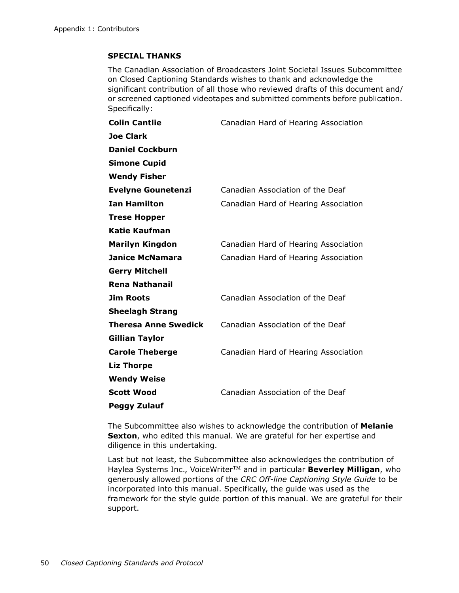#### **SPECIAL THANKS**

The Canadian Association of Broadcasters Joint Societal Issues Subcommittee on Closed Captioning Standards wishes to thank and acknowledge the significant contribution of all those who reviewed drafts of this document and/ or screened captioned videotapes and submitted comments before publication. Specifically:

| <b>Colin Cantlie</b>        | Canadian Hard of Hearing Association |
|-----------------------------|--------------------------------------|
|                             |                                      |
| Joe Clark                   |                                      |
| <b>Daniel Cockburn</b>      |                                      |
| <b>Simone Cupid</b>         |                                      |
| <b>Wendy Fisher</b>         |                                      |
| <b>Evelyne Gounetenzi</b>   | Canadian Association of the Deaf     |
| Ian Hamilton                | Canadian Hard of Hearing Association |
| <b>Trese Hopper</b>         |                                      |
| Katie Kaufman               |                                      |
| <b>Marilyn Kingdon</b>      | Canadian Hard of Hearing Association |
| <b>Janice McNamara</b>      | Canadian Hard of Hearing Association |
| Gerry Mitchell              |                                      |
| <b>Rena Nathanail</b>       |                                      |
| Jim Roots                   | Canadian Association of the Deaf     |
| <b>Sheelagh Strang</b>      |                                      |
| <b>Theresa Anne Swedick</b> | Canadian Association of the Deaf     |
| Gillian Taylor              |                                      |
| <b>Carole Theberge</b>      | Canadian Hard of Hearing Association |
| <b>Liz Thorpe</b>           |                                      |
| <b>Wendy Weise</b>          |                                      |
| <b>Scott Wood</b>           | Canadian Association of the Deaf     |
| Peggy Zulauf                |                                      |

The Subcommittee also wishes to acknowledge the contribution of **Melanie Sexton**, who edited this manual. We are grateful for her expertise and diligence in this undertaking.

<span id="page-55-0"></span>Last but not least, the Subcommittee also acknowledges the contribution of Haylea Systems Inc., VoiceWriter<sup>TM</sup> and in particular **Beverley Milligan**, who generously allowed portions of the *CRC Off-line Captioning Style Guide* to be incorporated into this manual. Specifically, the guide was used as the framework for the style guide portion of this manual. We are grateful for their support.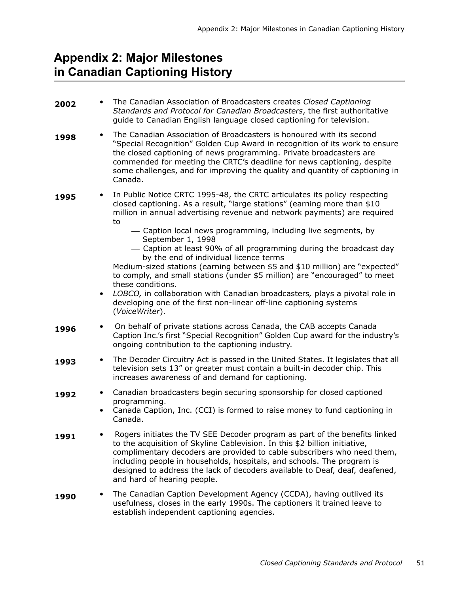# **Appendix 2: Major Milestones in Canadian Captioning History**

- <span id="page-56-2"></span>**2002** • The Canadian Association of Broadcasters creates *Closed Captioning Standards and Protocol for Canadian Broadcasters*, the first authoritative guide to Canadian English language closed captioning for television.
- 1998 The Canadian Association of Broadcasters is honoured with its second "Special Recognition" Golden Cup Award in recognition of its work to ensure the closed captioning of news programming. Private broadcasters are commended for meeting the CRTC's deadline for news captioning, despite some challenges, and for improving the quality and quantity of captioning in Canada.
- 1995 In Public Notice CRTC 1995-48, the CRTC articulates its policy respecting closed captioning. As a result, "large stations" (earning more than \$10 million in annual advertising revenue and network payments) are required to
	- Caption local news programming, including live segments, by September 1, 1998
	- Caption at least 90% of all programming during the broadcast day by the end of individual licence terms

<span id="page-56-1"></span><span id="page-56-0"></span>Medium-sized stations (earning between \$5 and \$10 million) are "expected" to comply, and small stations (under \$5 million) are "encouraged" to meet these conditions.

- *LOBCO,* in collaboration with Canadian broadcasters*,* plays a pivotal role in developing one of the first non-linear off-line captioning systems (*VoiceWriter*).
- 1996 On behalf of private stations across Canada, the CAB accepts Canada Caption Inc.'s first "Special Recognition" Golden Cup award for the industry's ongoing contribution to the captioning industry.
- 1993 The Decoder Circuitry Act is passed in the United States. It legislates that all television sets 13" or greater must contain a built-in decoder chip. This increases awareness of and demand for captioning.
- 1992 Canadian broadcasters begin securing sponsorship for closed captioned programming.
	- Canada Caption, Inc. (CCI) is formed to raise money to fund captioning in Canada.
- 1991 Rogers initiates the TV SEE Decoder program as part of the benefits linked to the acquisition of Skyline Cablevision. In this \$2 billion initiative, complimentary decoders are provided to cable subscribers who need them, including people in households, hospitals, and schools. The program is designed to address the lack of decoders available to Deaf, deaf, deafened, and hard of hearing people.
- **1990** The Canadian Caption Development Agency (CCDA), having outlived its usefulness, closes in the early 1990s. The captioners it trained leave to establish independent captioning agencies.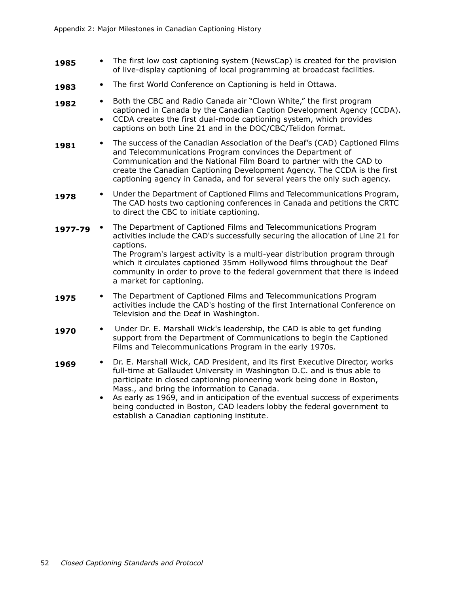- 1985 The first low cost captioning system (NewsCap) is created for the provision of live-display captioning of local programming at broadcast facilities.
- 1983 The first World Conference on Captioning is held in Ottawa.
- 1982 Both the CBC and Radio Canada air "Clown White," the first program captioned in Canada by the Canadian Caption Development Agency (CCDA).
	- CCDA creates the first dual-mode captioning system, which provides captions on both Line 21 and in the DOC/CBC/Telidon format.
- 1981 The success of the Canadian Association of the Deaf's (CAD) Captioned Films and Telecommunications Program convinces the Department of Communication and the National Film Board to partner with the CAD to create the Canadian Captioning Development Agency. The CCDA is the first captioning agency in Canada, and for several years the only such agency.
- 1978 Under the Department of Captioned Films and Telecommunications Program, The CAD hosts two captioning conferences in Canada and petitions the CRTC to direct the CBC to initiate captioning.
- **1977-79** The Department of Captioned Films and Telecommunications Program activities include the CAD's successfully securing the allocation of Line 21 for captions. The Program's largest activity is a multi-year distribution program through which it circulates captioned 35mm Hollywood films throughout the Deaf community in order to prove to the federal government that there is indeed a market for captioning.
- 1975 The Department of Captioned Films and Telecommunications Program activities include the CAD's hosting of the first International Conference on Television and the Deaf in Washington.
- 1970 Under Dr. E. Marshall Wick's leadership, the CAD is able to get funding support from the Department of Communications to begin the Captioned Films and Telecommunications Program in the early 1970s.
- 1969 Dr. E. Marshall Wick, CAD President, and its first Executive Director, works full-time at Gallaudet University in Washington D.C. and is thus able to participate in closed captioning pioneering work being done in Boston, Mass., and bring the information to Canada.
	- As early as 1969, and in anticipation of the eventual success of experiments being conducted in Boston, CAD leaders lobby the federal government to establish a Canadian captioning institute.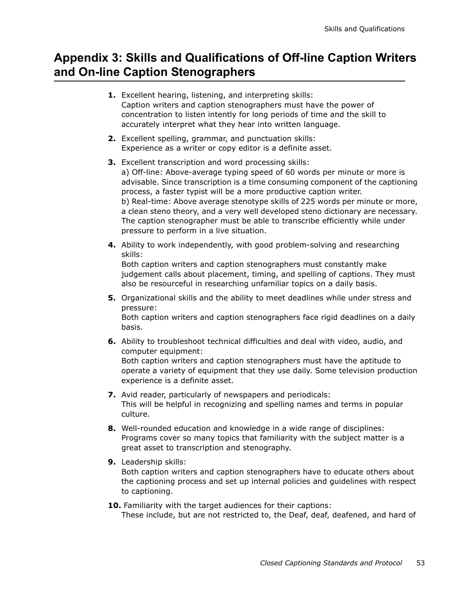# <span id="page-58-1"></span>**Appendix 3: Skills and Qualifications of Off-line Caption Writers and On-line Caption Stenographers**

- <span id="page-58-0"></span>**1.** Excellent hearing, listening, and interpreting skills: Caption writers and caption stenographers must have the power of concentration to listen intently for long periods of time and the skill to accurately interpret what they hear into written language.
- **2.** Excellent spelling, grammar, and punctuation skills: Experience as a writer or copy editor is a definite asset.
- **3.** Excellent transcription and word processing skills: a) Off-line: Above-average typing speed of 60 words per minute or more is advisable. Since transcription is a time consuming component of the captioning process, a faster typist will be a more productive caption writer. b) Real-time: Above average stenotype skills of 225 words per minute or more, a clean steno theory, and a very well developed steno dictionary are necessary. The caption stenographer must be able to transcribe efficiently while under pressure to perform in a live situation.
- **4.** Ability to work independently, with good problem-solving and researching skills:

<span id="page-58-2"></span>Both caption writers and caption stenographers must constantly make judgement calls about placement, timing, and spelling of captions. They must also be resourceful in researching unfamiliar topics on a daily basis.

- **5.** Organizational skills and the ability to meet deadlines while under stress and pressure: Both caption writers and caption stenographers face rigid deadlines on a daily basis.
- **6.** Ability to troubleshoot technical difficulties and deal with video, audio, and computer equipment:

Both caption writers and caption stenographers must have the aptitude to operate a variety of equipment that they use daily. Some television production experience is a definite asset.

- **7.** Avid reader, particularly of newspapers and periodicals: This will be helpful in recognizing and spelling names and terms in popular culture.
- **8.** Well-rounded education and knowledge in a wide range of disciplines: Programs cover so many topics that familiarity with the subject matter is a great asset to transcription and stenography.
- **9.** Leadership skills:

Both caption writers and caption stenographers have to educate others about the captioning process and set up internal policies and guidelines with respect to captioning.

**10.** Familiarity with the target audiences for their captions: These include, but are not restricted to, the Deaf, deaf, deafened, and hard of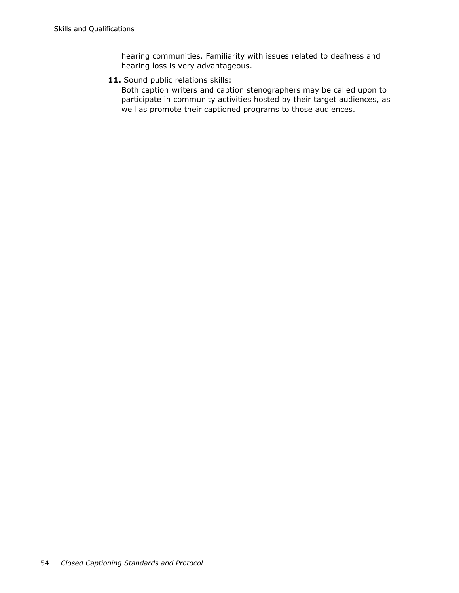hearing communities. Familiarity with issues related to deafness and hearing loss is very advantageous.

11. Sound public relations skills:

Both caption writers and caption stenographers may be called upon to participate in community activities hosted by their target audiences, as well as promote their captioned programs to those audiences.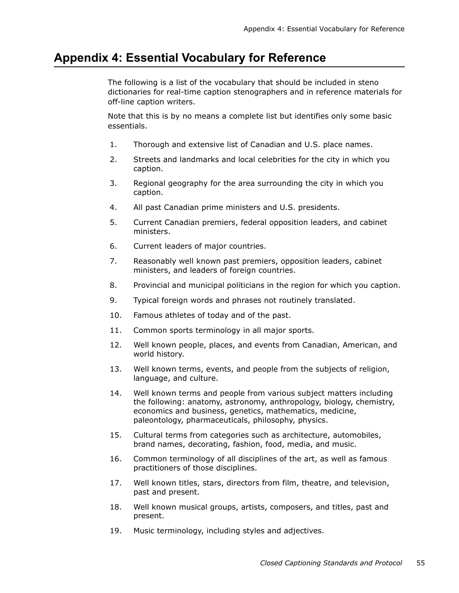## **Appendix 4: Essential Vocabulary for Reference**

The following is a list of the vocabulary that should be included in steno dictionaries for real-time caption stenographers and in reference materials for off-line caption writers.

Note that this is by no means a complete list but identifies only some basic essentials.

- 1. Thorough and extensive list of Canadian and U.S. place names.
- 2. Streets and landmarks and local celebrities for the city in which you caption.
- 3. Regional geography for the area surrounding the city in which you caption.
- 4. All past Canadian prime ministers and U.S. presidents.
- 5. Current Canadian premiers, federal opposition leaders, and cabinet ministers.
- 6. Current leaders of major countries.
- 7. Reasonably well known past premiers, opposition leaders, cabinet ministers, and leaders of foreign countries.
- 8. Provincial and municipal politicians in the region for which you caption.
- 9. Typical foreign words and phrases not routinely translated.
- 10. Famous athletes of today and of the past.
- 11. Common sports terminology in all major sports.
- 12. Well known people, places, and events from Canadian, American, and world history.
- 13. Well known terms, events, and people from the subjects of religion, language, and culture.
- 14. Well known terms and people from various subject matters including the following: anatomy, astronomy, anthropology, biology, chemistry, economics and business, genetics, mathematics, medicine, paleontology, pharmaceuticals, philosophy, physics.
- 15. Cultural terms from categories such as architecture, automobiles, brand names, decorating, fashion, food, media, and music.
- 16. Common terminology of all disciplines of the art, as well as famous practitioners of those disciplines.
- 17. Well known titles, stars, directors from film, theatre, and television, past and present.
- 18. Well known musical groups, artists, composers, and titles, past and present.
- 19. Music terminology, including styles and adjectives.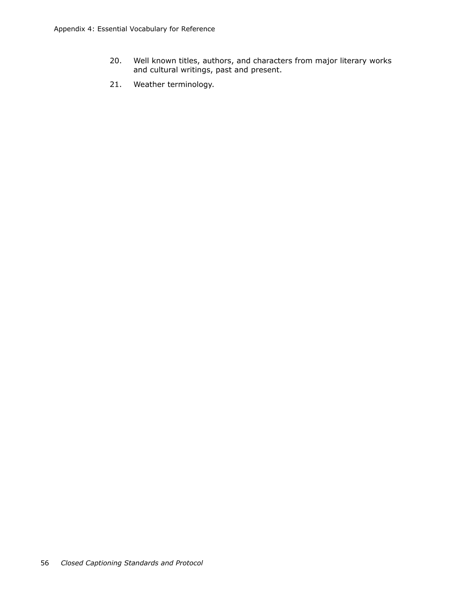- 20. Well known titles, authors, and characters from major literary works and cultural writings, past and present.
- 21. Weather terminology.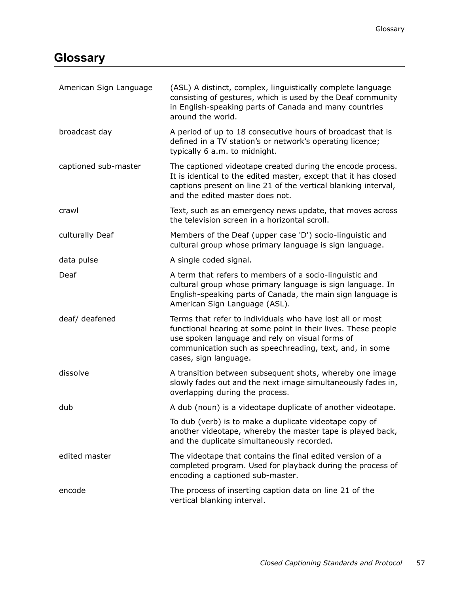<span id="page-62-11"></span><span id="page-62-10"></span><span id="page-62-9"></span><span id="page-62-8"></span><span id="page-62-7"></span><span id="page-62-6"></span><span id="page-62-5"></span><span id="page-62-4"></span><span id="page-62-3"></span><span id="page-62-2"></span><span id="page-62-1"></span><span id="page-62-0"></span>

| American Sign Language | (ASL) A distinct, complex, linguistically complete language<br>consisting of gestures, which is used by the Deaf community<br>in English-speaking parts of Canada and many countries<br>around the world.                                                         |
|------------------------|-------------------------------------------------------------------------------------------------------------------------------------------------------------------------------------------------------------------------------------------------------------------|
| broadcast day          | A period of up to 18 consecutive hours of broadcast that is<br>defined in a TV station's or network's operating licence;<br>typically 6 a.m. to midnight.                                                                                                         |
| captioned sub-master   | The captioned videotape created during the encode process.<br>It is identical to the edited master, except that it has closed<br>captions present on line 21 of the vertical blanking interval,<br>and the edited master does not.                                |
| crawl                  | Text, such as an emergency news update, that moves across<br>the television screen in a horizontal scroll.                                                                                                                                                        |
| culturally Deaf        | Members of the Deaf (upper case 'D') socio-linguistic and<br>cultural group whose primary language is sign language.                                                                                                                                              |
| data pulse             | A single coded signal.                                                                                                                                                                                                                                            |
| Deaf                   | A term that refers to members of a socio-linguistic and<br>cultural group whose primary language is sign language. In<br>English-speaking parts of Canada, the main sign language is<br>American Sign Language (ASL).                                             |
| deaf/ deafened         | Terms that refer to individuals who have lost all or most<br>functional hearing at some point in their lives. These people<br>use spoken language and rely on visual forms of<br>communication such as speechreading, text, and, in some<br>cases, sign language. |
| dissolve               | A transition between subsequent shots, whereby one image<br>slowly fades out and the next image simultaneously fades in,<br>overlapping during the process.                                                                                                       |
| dub                    | A dub (noun) is a videotape duplicate of another videotape.                                                                                                                                                                                                       |
|                        | To dub (verb) is to make a duplicate videotape copy of<br>another videotape, whereby the master tape is played back,<br>and the duplicate simultaneously recorded.                                                                                                |
| edited master          | The videotape that contains the final edited version of a<br>completed program. Used for playback during the process of<br>encoding a captioned sub-master.                                                                                                       |
| encode                 | The process of inserting caption data on line 21 of the<br>vertical blanking interval.                                                                                                                                                                            |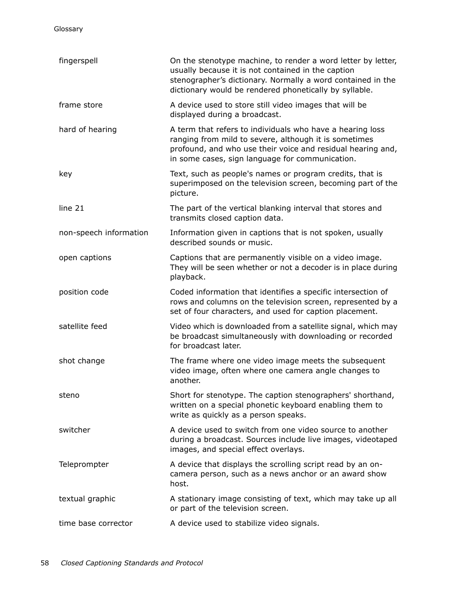Glossary

<span id="page-63-13"></span><span id="page-63-12"></span><span id="page-63-11"></span><span id="page-63-10"></span><span id="page-63-9"></span><span id="page-63-8"></span><span id="page-63-7"></span><span id="page-63-6"></span><span id="page-63-5"></span><span id="page-63-4"></span><span id="page-63-3"></span><span id="page-63-2"></span><span id="page-63-1"></span><span id="page-63-0"></span>

| fingerspell            | On the stenotype machine, to render a word letter by letter,<br>usually because it is not contained in the caption<br>stenographer's dictionary. Normally a word contained in the<br>dictionary would be rendered phonetically by syllable. |
|------------------------|---------------------------------------------------------------------------------------------------------------------------------------------------------------------------------------------------------------------------------------------|
| frame store            | A device used to store still video images that will be<br>displayed during a broadcast.                                                                                                                                                     |
| hard of hearing        | A term that refers to individuals who have a hearing loss<br>ranging from mild to severe, although it is sometimes<br>profound, and who use their voice and residual hearing and,<br>in some cases, sign language for communication.        |
| key                    | Text, such as people's names or program credits, that is<br>superimposed on the television screen, becoming part of the<br>picture.                                                                                                         |
| line 21                | The part of the vertical blanking interval that stores and<br>transmits closed caption data.                                                                                                                                                |
| non-speech information | Information given in captions that is not spoken, usually<br>described sounds or music.                                                                                                                                                     |
| open captions          | Captions that are permanently visible on a video image.<br>They will be seen whether or not a decoder is in place during<br>playback.                                                                                                       |
| position code          | Coded information that identifies a specific intersection of<br>rows and columns on the television screen, represented by a<br>set of four characters, and used for caption placement.                                                      |
| satellite feed         | Video which is downloaded from a satellite signal, which may<br>be broadcast simultaneously with downloading or recorded<br>for broadcast later.                                                                                            |
| shot change            | The frame where one video image meets the subsequent<br>video image, often where one camera angle changes to<br>another.                                                                                                                    |
| steno                  | Short for stenotype. The caption stenographers' shorthand,<br>written on a special phonetic keyboard enabling them to<br>write as quickly as a person speaks.                                                                               |
| switcher               | A device used to switch from one video source to another<br>during a broadcast. Sources include live images, videotaped<br>images, and special effect overlays.                                                                             |
| Teleprompter           | A device that displays the scrolling script read by an on-<br>camera person, such as a news anchor or an award show<br>host.                                                                                                                |
| textual graphic        | A stationary image consisting of text, which may take up all<br>or part of the television screen.                                                                                                                                           |
| time base corrector    | A device used to stabilize video signals.                                                                                                                                                                                                   |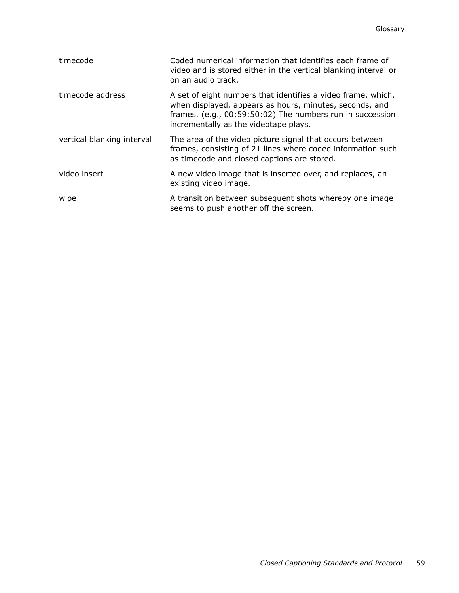<span id="page-64-3"></span><span id="page-64-2"></span><span id="page-64-1"></span><span id="page-64-0"></span>

| timecode                   | Coded numerical information that identifies each frame of<br>video and is stored either in the vertical blanking interval or<br>on an audio track.                                                                            |
|----------------------------|-------------------------------------------------------------------------------------------------------------------------------------------------------------------------------------------------------------------------------|
| timecode address           | A set of eight numbers that identifies a video frame, which,<br>when displayed, appears as hours, minutes, seconds, and<br>frames. (e.g., 00:59:50:02) The numbers run in succession<br>incrementally as the videotape plays. |
| vertical blanking interval | The area of the video picture signal that occurs between<br>frames, consisting of 21 lines where coded information such<br>as timecode and closed captions are stored.                                                        |
| video insert               | A new video image that is inserted over, and replaces, an<br>existing video image.                                                                                                                                            |
| wipe                       | A transition between subsequent shots whereby one image<br>seems to push another off the screen.                                                                                                                              |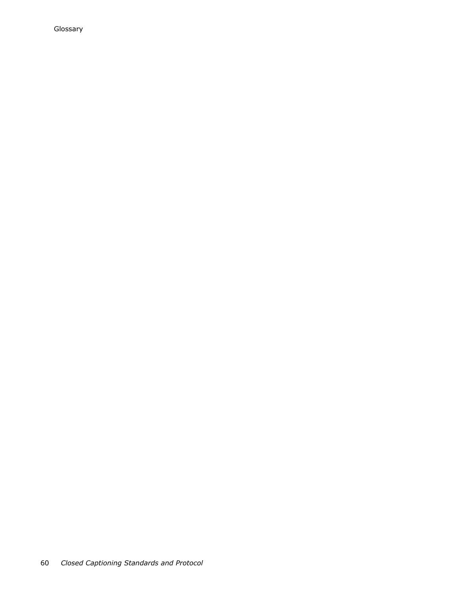Glossary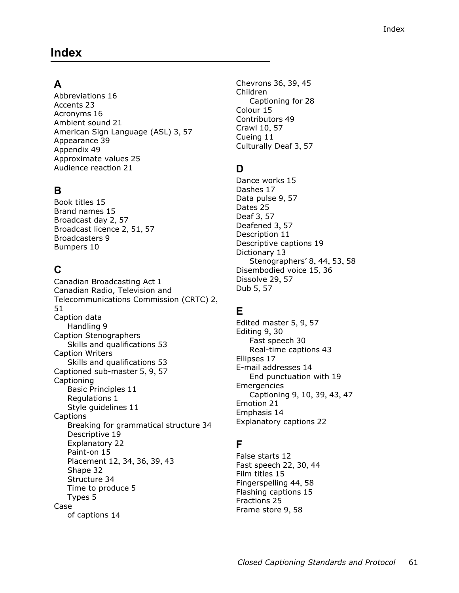## **Index**

## **A**

Abbreviations [16](#page-21-0) Accents [23](#page-28-0) Acronyms [16](#page-21-1) Ambient sound [21](#page-26-0) American Sign Language (ASL) [3](#page-8-0), [57](#page-62-0) Appearance [39](#page-44-0) Appendix [49](#page-54-0) Approximate values [25](#page-30-0) Audience reaction [21](#page-26-1)

## **B**

Book titles [15](#page-20-0) Brand names [15](#page-20-1) Broadcast day [2](#page-7-0), [57](#page-62-1) Broadcast licence [2](#page-7-0), [51](#page-56-0), [57](#page-62-2) Broadcasters [9](#page-14-0) Bumpers [10](#page-15-0)

## **C**

Canadian Broadcasting Act [1](#page-6-0) Canadian Radio, Television and Telecommunications Commission (CRTC) [2](#page-7-1), [51](#page-56-1) Caption data Handling [9](#page-14-1) Caption Stenographers Skills and qualifications [53](#page-58-0) Caption Writers Skills and qualifications [53](#page-58-1) Captioned sub-master [5](#page-10-0), [9](#page-14-2), [57](#page-62-3) Captioning Basic Principles [11](#page-16-0) Regulations [1](#page-6-1) Style guidelines [11](#page-16-1) Captions Breaking for grammatical structure [34](#page-39-0) Descriptive [19](#page-24-1) Explanatory [22](#page-27-0) Paint-on [15](#page-20-2) Placement [12](#page-17-1), [34](#page-39-1), [36](#page-41-1), [39](#page-44-1), [43](#page-48-0) Shape [32](#page-37-0) Structure [34](#page-39-0) Time to produce [5](#page-10-1) Types [5](#page-10-2) Case of captions [14](#page-19-0)

Chevrons [36](#page-41-2), [39](#page-44-2), [45](#page-50-0) Children Captioning for [28](#page-33-0) Colour [15](#page-20-3) Contributors [49](#page-54-1) Crawl [10](#page-15-1), [57](#page-62-4) Cueing [11](#page-16-2) Culturally Deaf [3](#page-8-1), [57](#page-62-5)

## **D**

Dance works [15](#page-20-0) Dashes [17](#page-22-1) Data pulse [9](#page-14-3), [57](#page-62-6) Dates [25](#page-30-1) Deaf [3](#page-8-2), [57](#page-62-7) Deafened [3](#page-8-3), [57](#page-62-8) Description [11](#page-16-3) Descriptive captions [19](#page-24-1) Dictionary [13](#page-18-0) Stenographers' [8](#page-13-0), [44](#page-49-1), [53](#page-58-2), [58](#page-63-0) Disembodied voice [15](#page-20-4), [36](#page-41-3) Dissolve [29](#page-34-0), [57](#page-62-9) Dub [5](#page-10-3), [57](#page-62-10)

## **E**

Edited master [5](#page-10-4), [9](#page-14-2), [57](#page-62-11) Editing [9](#page-14-4), [30](#page-35-0) Fast speech [30](#page-35-0) Real-time captions [43](#page-48-1) Ellipses [17](#page-22-2) E-mail addresses [14](#page-19-1) End punctuation with [19](#page-24-2) Emergencies Captioning [9](#page-14-5), [10](#page-15-2), [39](#page-44-3), [43](#page-48-2), [47](#page-52-0) Emotion [21](#page-26-2) Emphasis [14](#page-19-2) Explanatory captions [22](#page-27-0)

### **F**

False starts [12](#page-17-2) Fast speech [22](#page-27-1), [30](#page-35-1), [44](#page-49-2) Film titles [15](#page-20-0) Fingerspelling [44](#page-49-3), [58](#page-63-1) Flashing captions [15](#page-20-5) Fractions [25](#page-30-2) Frame store [9](#page-14-6), [58](#page-63-2)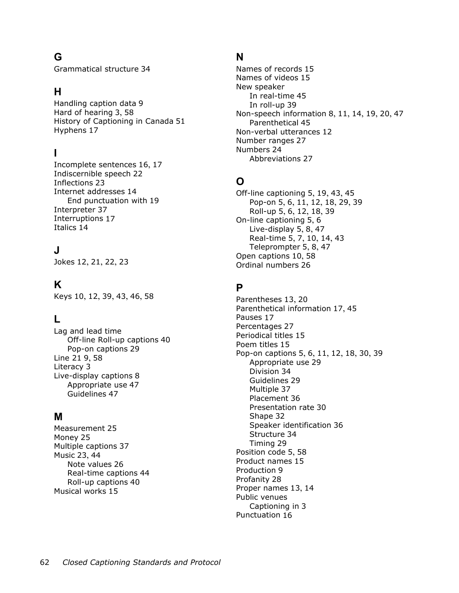## **G**

Grammatical structure [34](#page-39-0)

### **H**

Handling caption data [9](#page-14-1) Hard of hearing [3](#page-8-4), [58](#page-63-3) History of Captioning in Canada [51](#page-56-2) Hyphens [17](#page-22-3)

### **I**

Incomplete sentences [16](#page-21-2), [17](#page-22-4) Indiscernible speech [22](#page-27-2) Inflections [23](#page-28-0) Internet addresses [14](#page-19-3) End punctuation with [19](#page-24-3) Interpreter [37](#page-42-0) Interruptions [17](#page-22-5) Italics [14](#page-19-4)

### **J**

Jokes [12](#page-17-3), [21](#page-26-3), [22](#page-27-3), [23](#page-28-1)

### **K**

Keys [10](#page-15-3), [12](#page-17-4), [39](#page-44-4), [43](#page-48-3), [46](#page-51-2), [58](#page-63-4)

## **L**

Lag and lead time Off-line Roll-up captions [40](#page-45-1) Pop-on captions [29](#page-34-1) Line 21 [9](#page-14-7), [58](#page-63-5) Literacy [3](#page-8-5) Live-display captions [8](#page-13-1) Appropriate use [47](#page-52-1) Guidelines [47](#page-52-0)

### **M**

Measurement [25](#page-30-3) Money [25](#page-30-4) Multiple captions [37](#page-42-1) Music [23](#page-28-2), [44](#page-49-4) Note values [26](#page-31-0) Real-time captions [44](#page-49-5) Roll-up captions [40](#page-45-2) Musical works [15](#page-20-0)

Names of records [15](#page-20-0) Names of videos [15](#page-20-0) New speaker In real-time [45](#page-50-1) In roll-up [39](#page-44-2) Non-speech information [8](#page-13-2), [11](#page-16-4), [14](#page-19-5), [19](#page-24-1), [20](#page-25-0), [47](#page-52-2) Parenthetical [45](#page-50-2) Non-verbal utterances [12](#page-17-5) Number ranges [27](#page-32-0) Numbers [24](#page-29-1) Abbreviations [27](#page-32-1)

## **O**

Off-line captioning [5](#page-10-5), [19](#page-24-4), [43](#page-48-4), [45](#page-50-3) Pop-on [5](#page-10-6), [6](#page-11-0), [11](#page-16-5), [12](#page-17-6), [18](#page-23-0), [29](#page-34-2), [39](#page-44-5) Roll-up [5](#page-10-7), [6](#page-11-1), [12](#page-17-7), [18](#page-23-1), [39](#page-44-6) On-line captioning [5](#page-10-8), [6](#page-11-2) Live-display [5](#page-10-9), [8](#page-13-3), [47](#page-52-3) Real-time [5](#page-10-10), [7](#page-12-0), [10](#page-15-4), [14](#page-19-6), [43](#page-48-5) Teleprompter [5](#page-10-11), [8](#page-13-4), [47](#page-52-3) Open captions [10](#page-15-5), [58](#page-63-6) Ordinal numbers [26](#page-31-1)

### **P**

Parentheses [13](#page-18-1), [20](#page-25-1) Parenthetical information [17](#page-22-6), [45](#page-50-2) Pauses [17](#page-22-4) Percentages [27](#page-32-2) Periodical titles [15](#page-20-0) Poem titles [15](#page-20-0) Pop-on captions [5](#page-10-12), [6](#page-11-0), [11](#page-16-6), [12](#page-17-8), [18](#page-23-2), [30](#page-35-2), [39](#page-44-7) Appropriate use [29](#page-34-3) Division [34](#page-39-2) Guidelines [29](#page-34-2) Multiple [37](#page-42-2) Placement [36](#page-41-4) Presentation rate [30](#page-35-3) Shape [32](#page-37-1) Speaker identification [36](#page-41-5) Structure [34](#page-39-0) Timing [29](#page-34-1) Position code [5](#page-10-13), [58](#page-63-7) Product names [15](#page-20-0) Production [9](#page-14-8) Profanity [28](#page-33-1) Proper names [13](#page-18-2), [14](#page-19-7) Public venues Captioning in [3](#page-8-6) Punctuation [16](#page-21-3)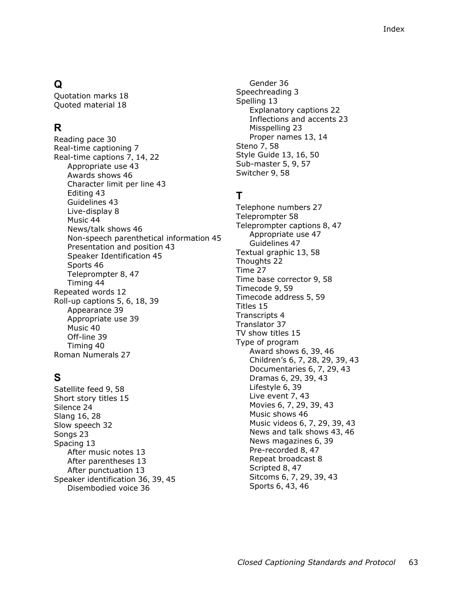# **Q**

Quotation marks [18](#page-23-3) Quoted material [18](#page-23-3)

## **R**

Reading pace [30](#page-35-3) Real-time captioning [7](#page-12-0) Real-time captions [7](#page-12-0), [14](#page-19-6), [22](#page-27-4) Appropriate use [43](#page-48-6) Awards shows [46](#page-51-3) Character limit per line [43](#page-48-7) Editing [43](#page-48-1) Guidelines [43](#page-48-2) Live-display [8](#page-13-5) Music [44](#page-49-5) News/talk shows [46](#page-51-4) Non-speech parenthetical information [45](#page-50-2) Presentation and position [43](#page-48-8) Speaker Identification [45](#page-50-4) Sports [46](#page-51-5) Teleprompter [8](#page-13-6), [47](#page-52-4) Timing [44](#page-49-6) Repeated words [12](#page-17-9) Roll-up captions [5](#page-10-7), [6](#page-11-3), [18](#page-23-4), [39](#page-44-8) Appearance [39](#page-44-0) Appropriate use [39](#page-44-9) Music [40](#page-45-3) Off-line [39](#page-44-6) Timing [40](#page-45-1) Roman Numerals [27](#page-32-1)

## **S**

Satellite feed [9](#page-14-9), [58](#page-63-8) Short story titles [15](#page-20-0) Silence [24](#page-29-2) Slang [16](#page-21-4), [28](#page-33-1) Slow speech [32](#page-37-2) Songs [23](#page-28-3) Spacing [13](#page-18-3) After music notes [13](#page-18-4) After parentheses [13](#page-18-4) After punctuation [13](#page-18-5) Speaker identification [36](#page-41-5), [39](#page-44-10), [45](#page-50-4) Disembodied voice [36](#page-41-3)

Gender [36](#page-41-6) Speechreading [3](#page-8-7) Spelling [13](#page-18-6) Explanatory captions [22](#page-27-5) Inflections and accents [23](#page-28-4) Misspelling [23](#page-28-5) Proper names [13](#page-18-0), [14](#page-19-8) Steno [7](#page-12-1), [58](#page-63-9) Style Guide [13](#page-18-0), [16](#page-21-5), [50](#page-55-0) Sub-master [5](#page-10-14), [9](#page-14-10), [57](#page-62-3) Switcher [9](#page-14-11), [58](#page-63-10)

## **T**

Telephone numbers [27](#page-32-3) Teleprompter [58](#page-63-11) Teleprompter captions [8](#page-13-4), [47](#page-52-4) Appropriate use [47](#page-52-4) Guidelines [47](#page-52-0) Textual graphic [13](#page-18-7), [58](#page-63-12) Thoughts [22](#page-27-6) Time [27](#page-32-4) Time base corrector [9](#page-14-12), [58](#page-63-13) Timecode [9](#page-14-13), [59](#page-64-0) Timecode address [5](#page-10-15), [59](#page-64-1) Titles [15](#page-20-0) Transcripts [4](#page-9-0) Translator [37](#page-42-0) TV show titles [15](#page-20-0) Type of program Award shows [6](#page-11-4), [39](#page-44-11), [46](#page-51-6) Children's [6](#page-11-5), [7](#page-12-2), [28](#page-33-0), [29](#page-34-4), [39](#page-44-12), [43](#page-48-9) Documentaries [6](#page-11-5), [7](#page-12-3), [29](#page-34-5), [43](#page-48-10) Dramas [6](#page-11-6), [29](#page-34-6), [39](#page-44-13), [43](#page-48-11) Lifestyle [6](#page-11-7), [39](#page-44-14) Live event [7](#page-12-4), [43](#page-48-12) Movies [6](#page-11-8), [7](#page-12-5), [29](#page-34-7), [39](#page-44-15), [43](#page-48-13) Music shows [46](#page-51-7) Music videos [6](#page-11-9), [7](#page-12-6), [29](#page-34-8), [39](#page-44-16), [43](#page-48-14) News and talk shows [43](#page-48-15), [46](#page-51-8) News magazines [6](#page-11-10), [39](#page-44-17) Pre-recorded [8](#page-13-7), [47](#page-52-5) Repeat broadcast [8](#page-13-8) Scripted [8](#page-13-9), [47](#page-52-6) Sitcoms [6](#page-11-11), [7](#page-12-7), [29](#page-34-9), [39](#page-44-18), [43](#page-48-16) Sports [6](#page-11-12), [43](#page-48-17), [46](#page-51-6)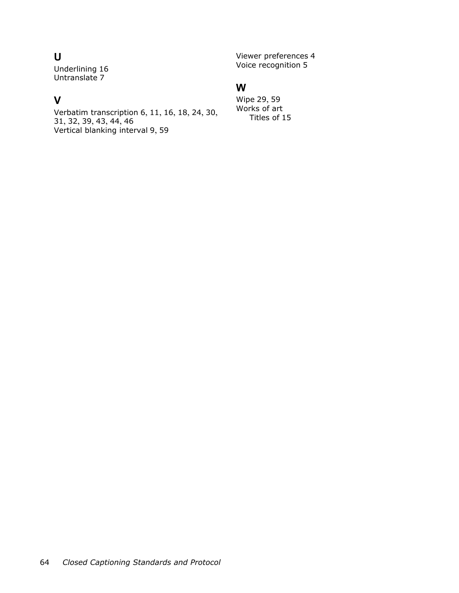## **U**

Underlining [16](#page-21-6) Untranslate [7](#page-12-8)

### **V**

Verbatim transcription [6](#page-11-13), [11](#page-16-7), [16](#page-21-7), [18](#page-23-5), [24](#page-29-3), [30](#page-35-4), [31](#page-36-0), [32](#page-37-3), [39](#page-44-19), [43](#page-48-18), [44](#page-49-7), [46](#page-51-9) Vertical blanking interval [9](#page-14-14), [59](#page-64-2)

Viewer preferences [4](#page-9-1) Voice recognition [5](#page-10-16)

## **W**

Wipe [29](#page-34-0), [59](#page-64-3) Works of art Titles of [15](#page-20-0)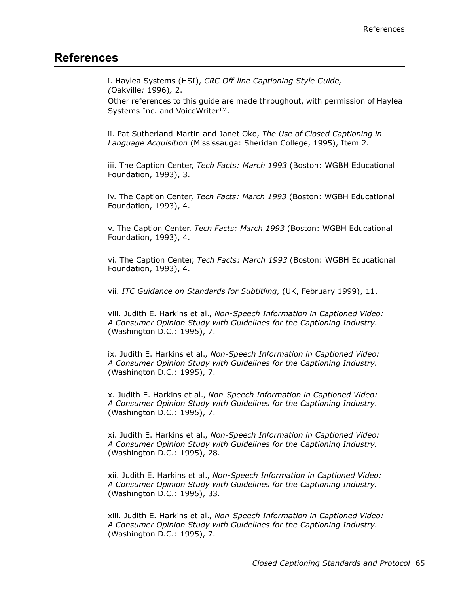### **References**

i. Haylea Systems (HSI), *CRC Off-line Captioning Style Guide, (*Oakville*:* 1996)*,* 2.

Other references to this guide are made throughout, with permission of Haylea Systems Inc. and VoiceWriter<sup>TM</sup>.

ii. Pat Sutherland-Martin and Janet Oko, *The Use of Closed Captioning in Language Acquisition* (Mississauga: Sheridan College, 1995), Item 2.

iii. The Caption Center, *Tech Facts: March 1993* (Boston: WGBH Educational Foundation, 1993), 3.

iv. The Caption Center, *Tech Facts: March 1993* (Boston: WGBH Educational Foundation, 1993), 4.

v. The Caption Center, *Tech Facts: March 1993* (Boston: WGBH Educational Foundation, 1993), 4.

vi. The Caption Center, *Tech Facts: March 1993* (Boston: WGBH Educational Foundation, 1993), 4.

vii. *ITC Guidance on Standards for Subtitling*, (UK, February 1999), 11.

viii. Judith E. Harkins et al., *Non-Speech Information in Captioned Video: A Consumer Opinion Study with Guidelines for the Captioning Industry.* (Washington D.C.: 1995), 7.

ix. Judith E. Harkins et al., *Non-Speech Information in Captioned Video: A Consumer Opinion Study with Guidelines for the Captioning Industry.* (Washington D.C.: 1995), 7.

x. Judith E. Harkins et al., *Non-Speech Information in Captioned Video: A Consumer Opinion Study with Guidelines for the Captioning Industry.* (Washington D.C.: 1995), 7.

xi. Judith E. Harkins et al., *Non-Speech Information in Captioned Video: A Consumer Opinion Study with Guidelines for the Captioning Industry*. (Washington D.C.: 1995), 28.

xii. Judith E. Harkins et al., *Non-Speech Information in Captioned Video: A Consumer Opinion Study with Guidelines for the Captioning Industry*. (Washington D.C.: 1995), 33.

xiii. Judith E. Harkins et al., *Non-Speech Information in Captioned Video: A Consumer Opinion Study with Guidelines for the Captioning Industry.* (Washington D.C.: 1995), 7.